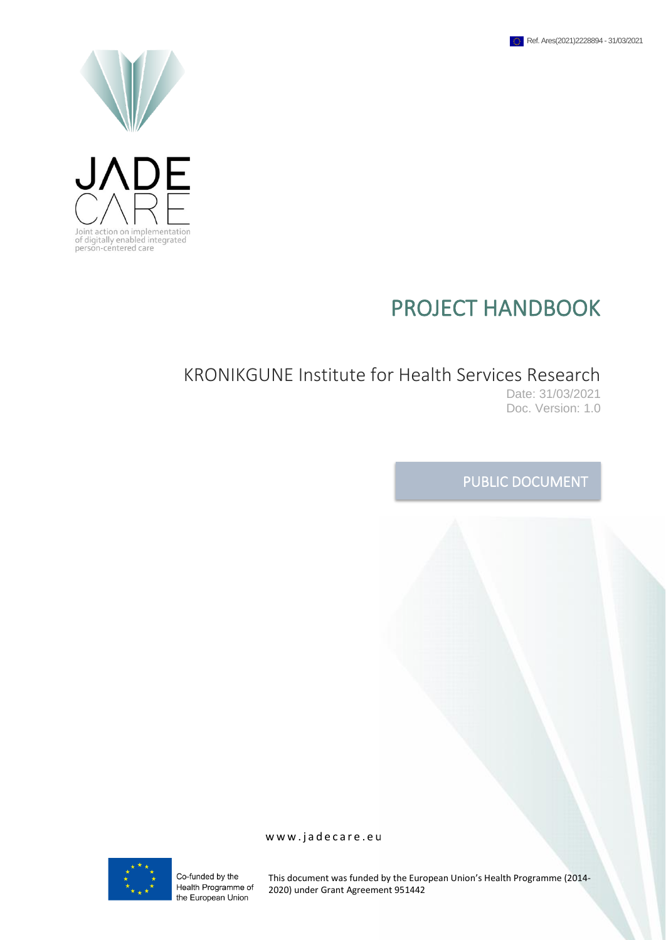



# PROJECT HANDBOOK

# KRONIKGUNE Institute for Health Services Research

Date: 31/03/2021 Doc. Version: 1.0

# PUBLIC DOCUMENT

Co-funded by the Health Programme of the European Union

This document was funded by the European Union's Health Programme (2014- 2020) under Grant Agreement 951442

www.jadecare.eu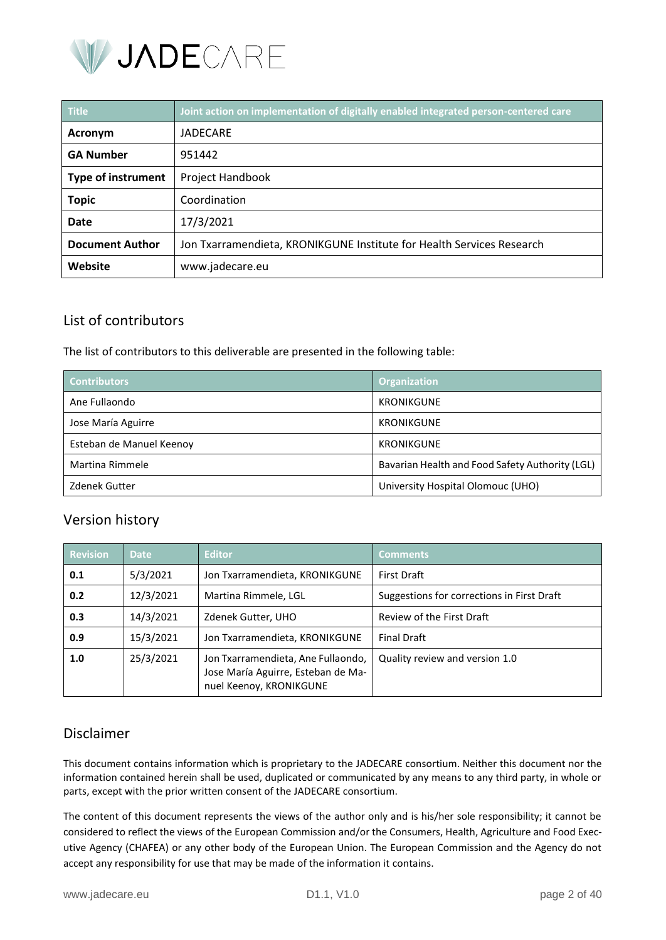

| <b>Title</b>              | Joint action on implementation of digitally enabled integrated person-centered care |
|---------------------------|-------------------------------------------------------------------------------------|
| Acronym                   | JADECARE                                                                            |
| <b>GA Number</b>          | 951442                                                                              |
| <b>Type of instrument</b> | Project Handbook                                                                    |
| <b>Topic</b>              | Coordination                                                                        |
| Date                      | 17/3/2021                                                                           |
| <b>Document Author</b>    | Jon Txarramendieta, KRONIKGUNE Institute for Health Services Research               |
| Website                   | www.jadecare.eu                                                                     |

# List of contributors

The list of contributors to this deliverable are presented in the following table:

| <b>Contributors</b>      | <b>Organization</b>                             |  |
|--------------------------|-------------------------------------------------|--|
| Ane Fullaondo            | <b>KRONIKGUNE</b>                               |  |
| Jose María Aguirre       | KRONIKGUNE                                      |  |
| Esteban de Manuel Keenoy | <b>KRONIKGUNE</b>                               |  |
| Martina Rimmele          | Bavarian Health and Food Safety Authority (LGL) |  |
| <b>Zdenek Gutter</b>     | University Hospital Olomouc (UHO)               |  |

# Version history

| <b>Revision</b> | <b>Date</b> | <b>Editor</b>                                                                                       | <b>Comments</b>                            |
|-----------------|-------------|-----------------------------------------------------------------------------------------------------|--------------------------------------------|
| 0.1             | 5/3/2021    | Jon Txarramendieta, KRONIKGUNE                                                                      | <b>First Draft</b>                         |
| 0.2             | 12/3/2021   | Martina Rimmele, LGL                                                                                | Suggestions for corrections in First Draft |
| 0.3             | 14/3/2021   | Zdenek Gutter, UHO                                                                                  | Review of the First Draft                  |
| 0.9             | 15/3/2021   | Jon Txarramendieta, KRONIKGUNE                                                                      | <b>Final Draft</b>                         |
| 1.0             | 25/3/2021   | Jon Txarramendieta, Ane Fullaondo,<br>Jose María Aguirre, Esteban de Ma-<br>nuel Keenoy, KRONIKGUNE | Quality review and version 1.0             |

# Disclaimer

This document contains information which is proprietary to the JADECARE consortium. Neither this document nor the information contained herein shall be used, duplicated or communicated by any means to any third party, in whole or parts, except with the prior written consent of the JADECARE consortium.

The content of this document represents the views of the author only and is his/her sole responsibility; it cannot be considered to reflect the views of the European Commission and/or the Consumers, Health, Agriculture and Food Executive Agency (CHAFEA) or any other body of the European Union. The European Commission and the Agency do not accept any responsibility for use that may be made of the information it contains.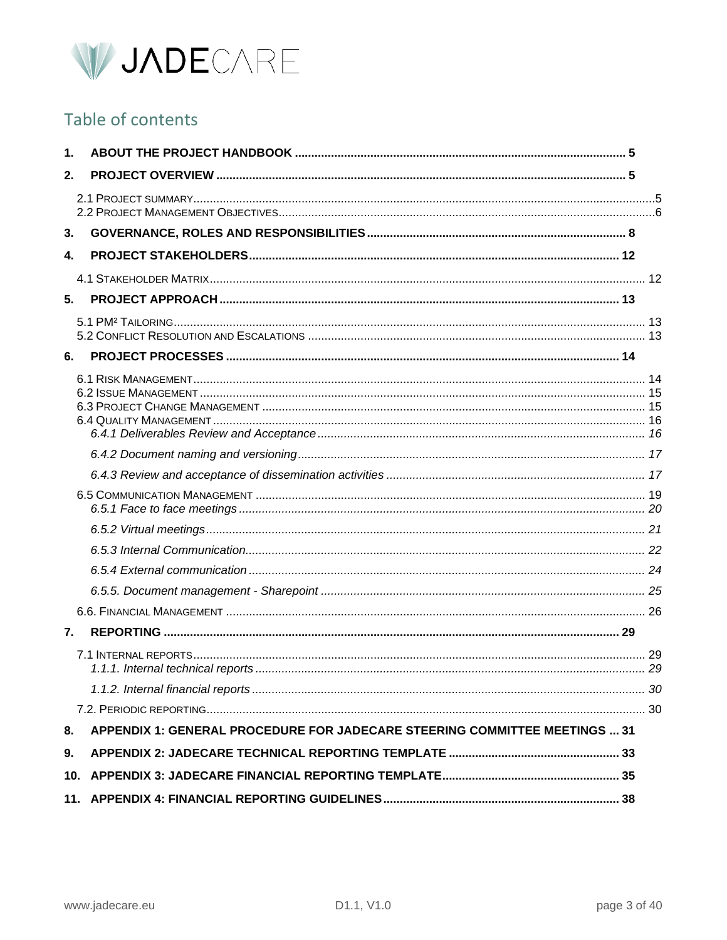

# Table of contents

| 1. |                                                                            |  |
|----|----------------------------------------------------------------------------|--|
| 2. |                                                                            |  |
|    |                                                                            |  |
| 3. |                                                                            |  |
| 4. |                                                                            |  |
|    |                                                                            |  |
| 5. |                                                                            |  |
|    |                                                                            |  |
| 6. |                                                                            |  |
|    |                                                                            |  |
|    |                                                                            |  |
|    |                                                                            |  |
|    |                                                                            |  |
|    |                                                                            |  |
|    |                                                                            |  |
|    |                                                                            |  |
|    |                                                                            |  |
|    |                                                                            |  |
| 7. |                                                                            |  |
|    |                                                                            |  |
|    |                                                                            |  |
|    |                                                                            |  |
| 8. | APPENDIX 1: GENERAL PROCEDURE FOR JADECARE STEERING COMMITTEE MEETINGS  31 |  |
| 9. |                                                                            |  |
|    |                                                                            |  |
|    |                                                                            |  |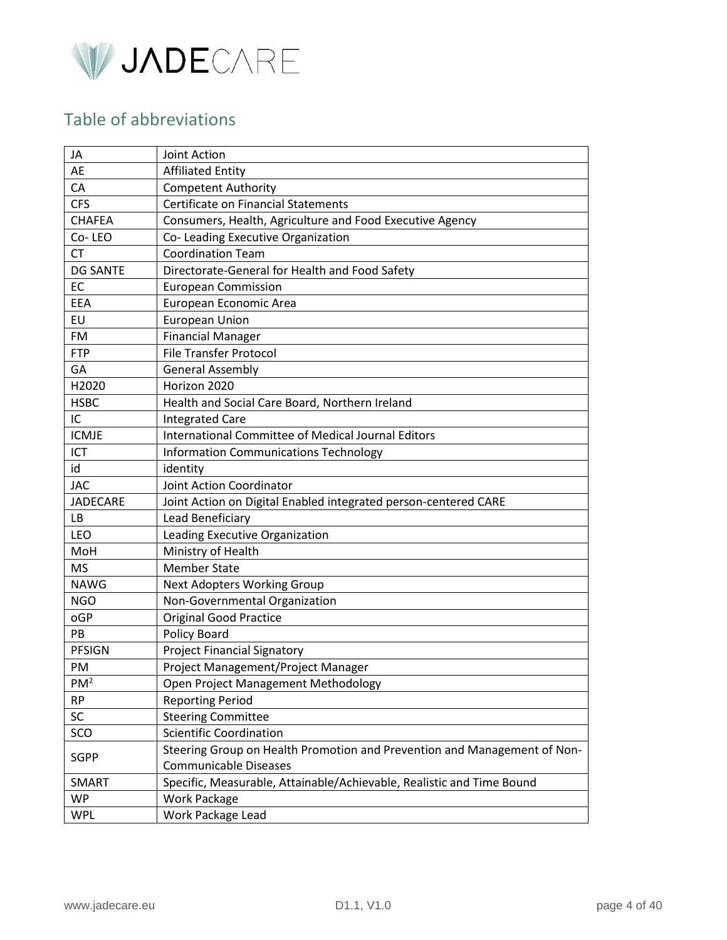

# Table of abbreviations

| JA              | Joint Action                                                             |  |
|-----------------|--------------------------------------------------------------------------|--|
| AE              | <b>Affiliated Entity</b>                                                 |  |
| CA              | <b>Competent Authority</b>                                               |  |
| <b>CFS</b>      | Certificate on Financial Statements                                      |  |
| <b>CHAFEA</b>   | Consumers, Health, Agriculture and Food Executive Agency                 |  |
| Co-LEO          | Co- Leading Executive Organization                                       |  |
| <b>CT</b>       | <b>Coordination Team</b>                                                 |  |
| <b>DG SANTE</b> | Directorate-General for Health and Food Safety                           |  |
| EC              | <b>European Commission</b>                                               |  |
| EEA             | European Economic Area                                                   |  |
| EU              | <b>European Union</b>                                                    |  |
| FM              | <b>Financial Manager</b>                                                 |  |
| <b>FTP</b>      | <b>File Transfer Protocol</b>                                            |  |
| GA              | <b>General Assembly</b>                                                  |  |
| H2020           | Horizon 2020                                                             |  |
| <b>HSBC</b>     | Health and Social Care Board, Northern Ireland                           |  |
| IC              | <b>Integrated Care</b>                                                   |  |
| <b>ICMJE</b>    | International Committee of Medical Journal Editors                       |  |
| ICT             | <b>Information Communications Technology</b>                             |  |
| id              | identity                                                                 |  |
| <b>JAC</b>      | Joint Action Coordinator                                                 |  |
| <b>JADECARE</b> | Joint Action on Digital Enabled integrated person-centered CARE          |  |
| LB              | Lead Beneficiary                                                         |  |
| <b>LEO</b>      | Leading Executive Organization                                           |  |
| MoH             | Ministry of Health                                                       |  |
| <b>MS</b>       | <b>Member State</b>                                                      |  |
| <b>NAWG</b>     | <b>Next Adopters Working Group</b>                                       |  |
| <b>NGO</b>      | Non-Governmental Organization                                            |  |
| oGP             | <b>Original Good Practice</b>                                            |  |
| PB              | Policy Board                                                             |  |
| <b>PFSIGN</b>   | <b>Project Financial Signatory</b>                                       |  |
| <b>PM</b>       | Project Management/Project Manager                                       |  |
| PM <sup>2</sup> | Open Project Management Methodology                                      |  |
| <b>RP</b>       | <b>Reporting Period</b>                                                  |  |
| SC              | <b>Steering Committee</b>                                                |  |
| SCO             | <b>Scientific Coordination</b>                                           |  |
|                 | Steering Group on Health Promotion and Prevention and Management of Non- |  |
| <b>SGPP</b>     | <b>Communicable Diseases</b>                                             |  |
| SMART           | Specific, Measurable, Attainable/Achievable, Realistic and Time Bound    |  |
| <b>WP</b>       | <b>Work Package</b>                                                      |  |
| <b>WPL</b>      | Work Package Lead                                                        |  |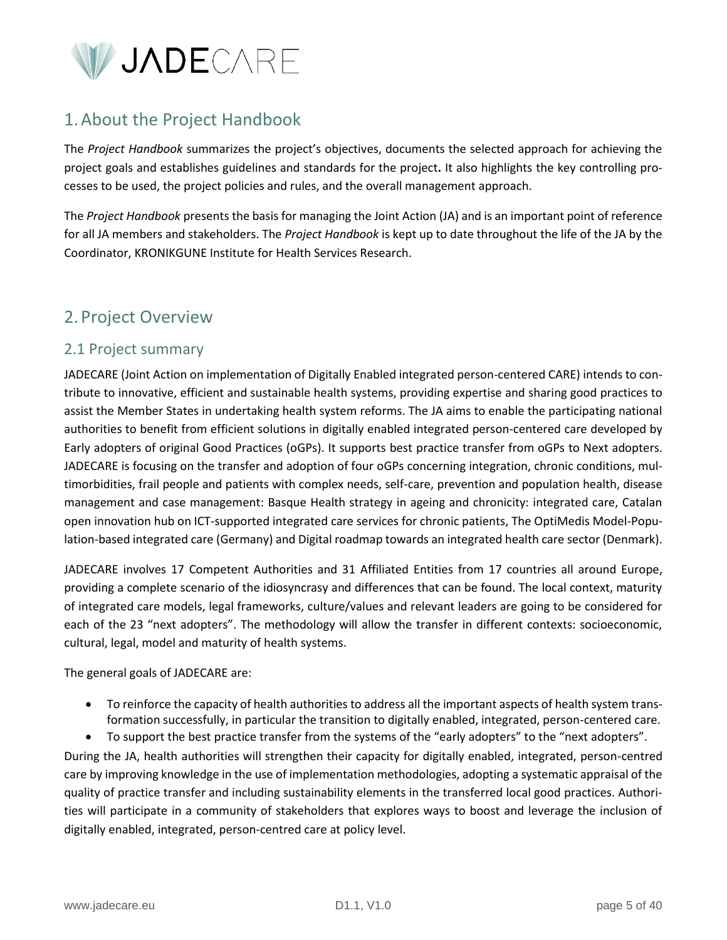

# <span id="page-4-0"></span>1.About the Project Handbook

The *Project Handbook* summarizes the project's objectives, documents the selected approach for achieving the project goals and establishes guidelines and standards for the project**.** It also highlights the key controlling processes to be used, the project policies and rules, and the overall management approach.

The *Project Handbook* presents the basis for managing the Joint Action (JA) and is an important point of reference for all JA members and stakeholders. The *Project Handbook* is kept up to date throughout the life of the JA by the Coordinator, KRONIKGUNE Institute for Health Services Research.

# <span id="page-4-1"></span>2. Project Overview

# <span id="page-4-2"></span>2.1 Project summary

JADECARE (Joint Action on implementation of Digitally Enabled integrated person-centered CARE) intends to contribute to innovative, efficient and sustainable health systems, providing expertise and sharing good practices to assist the Member States in undertaking health system reforms. The JA aims to enable the participating national authorities to benefit from efficient solutions in digitally enabled integrated person-centered care developed by Early adopters of original Good Practices (oGPs). It supports best practice transfer from oGPs to Next adopters. JADECARE is focusing on the transfer and adoption of four oGPs concerning integration, chronic conditions, multimorbidities, frail people and patients with complex needs, self-care, prevention and population health, disease management and case management: Basque Health strategy in ageing and chronicity: integrated care, Catalan open innovation hub on ICT-supported integrated care services for chronic patients, The OptiMedis Model-Population-based integrated care (Germany) and Digital roadmap towards an integrated health care sector (Denmark).

JADECARE involves 17 Competent Authorities and 31 Affiliated Entities from 17 countries all around Europe, providing a complete scenario of the idiosyncrasy and differences that can be found. The local context, maturity of integrated care models, legal frameworks, culture/values and relevant leaders are going to be considered for each of the 23 "next adopters". The methodology will allow the transfer in different contexts: socioeconomic, cultural, legal, model and maturity of health systems.

The general goals of JADECARE are:

- To reinforce the capacity of health authorities to address all the important aspects of health system transformation successfully, in particular the transition to digitally enabled, integrated, person-centered care.
- To support the best practice transfer from the systems of the "early adopters" to the "next adopters".

During the JA, health authorities will strengthen their capacity for digitally enabled, integrated, person-centred care by improving knowledge in the use of implementation methodologies, adopting a systematic appraisal of the quality of practice transfer and including sustainability elements in the transferred local good practices. Authorities will participate in a community of stakeholders that explores ways to boost and leverage the inclusion of digitally enabled, integrated, person-centred care at policy level.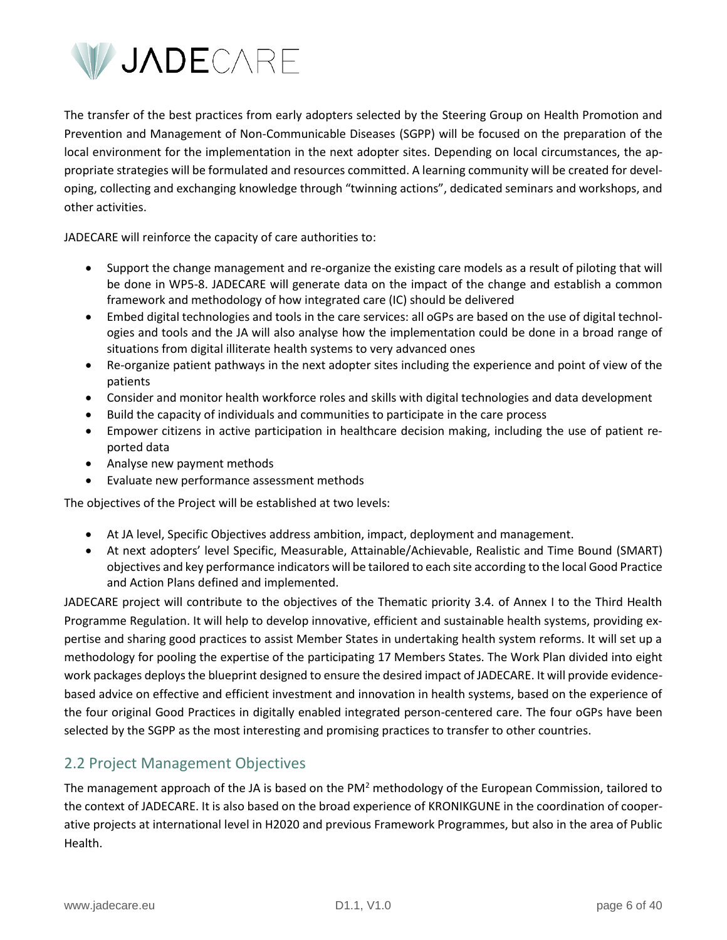

The transfer of the best practices from early adopters selected by the Steering Group on Health Promotion and Prevention and Management of Non-Communicable Diseases (SGPP) will be focused on the preparation of the local environment for the implementation in the next adopter sites. Depending on local circumstances, the appropriate strategies will be formulated and resources committed. A learning community will be created for developing, collecting and exchanging knowledge through "twinning actions", dedicated seminars and workshops, and other activities.

JADECARE will reinforce the capacity of care authorities to:

- Support the change management and re-organize the existing care models as a result of piloting that will be done in WP5-8. JADECARE will generate data on the impact of the change and establish a common framework and methodology of how integrated care (IC) should be delivered
- Embed digital technologies and tools in the care services: all oGPs are based on the use of digital technologies and tools and the JA will also analyse how the implementation could be done in a broad range of situations from digital illiterate health systems to very advanced ones
- Re-organize patient pathways in the next adopter sites including the experience and point of view of the patients
- Consider and monitor health workforce roles and skills with digital technologies and data development
- Build the capacity of individuals and communities to participate in the care process
- Empower citizens in active participation in healthcare decision making, including the use of patient reported data
- Analyse new payment methods
- Evaluate new performance assessment methods

The objectives of the Project will be established at two levels:

- At JA level, Specific Objectives address ambition, impact, deployment and management.
- At next adopters' level Specific, Measurable, Attainable/Achievable, Realistic and Time Bound (SMART) objectives and key performance indicators will be tailored to each site according to the local Good Practice and Action Plans defined and implemented.

JADECARE project will contribute to the objectives of the Thematic priority 3.4. of Annex I to the Third Health Programme Regulation. It will help to develop innovative, efficient and sustainable health systems, providing expertise and sharing good practices to assist Member States in undertaking health system reforms. It will set up a methodology for pooling the expertise of the participating 17 Members States. The Work Plan divided into eight work packages deploys the blueprint designed to ensure the desired impact of JADECARE. It will provide evidencebased advice on effective and efficient investment and innovation in health systems, based on the experience of the four original Good Practices in digitally enabled integrated person-centered care. The four oGPs have been selected by the SGPP as the most interesting and promising practices to transfer to other countries.

# <span id="page-5-0"></span>2.2 Project Management Objectives

The management approach of the JA is based on the  $PM^2$  methodology of the European Commission, tailored to the context of JADECARE. It is also based on the broad experience of KRONIKGUNE in the coordination of cooperative projects at international level in H2020 and previous Framework Programmes, but also in the area of Public Health.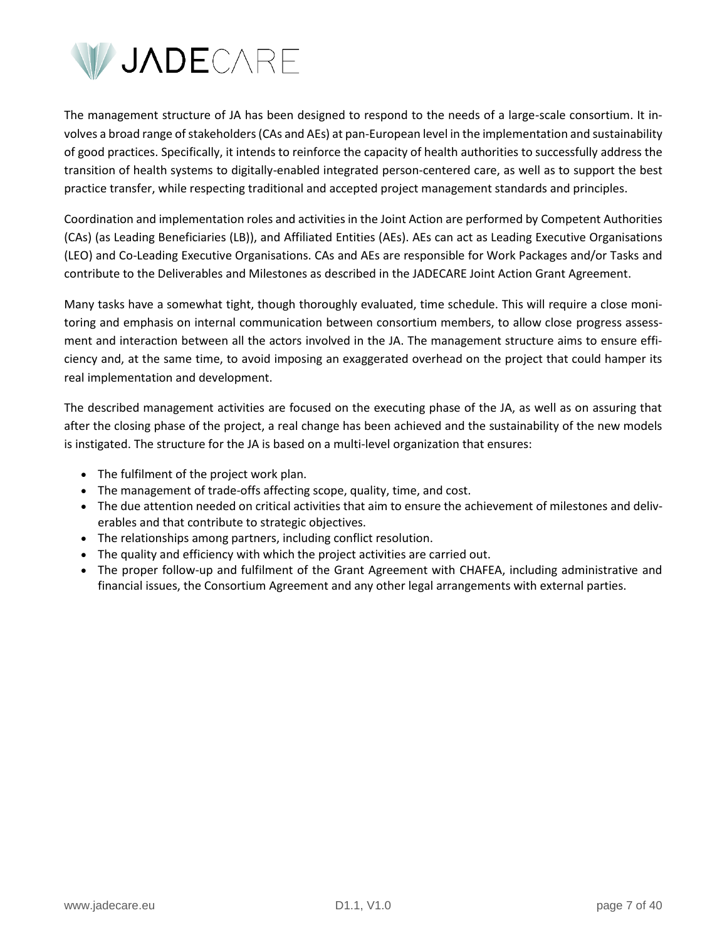

The management structure of JA has been designed to respond to the needs of a large-scale consortium. It involves a broad range of stakeholders (CAs and AEs) at pan-European level in the implementation and sustainability of good practices. Specifically, it intends to reinforce the capacity of health authorities to successfully address the transition of health systems to digitally-enabled integrated person-centered care, as well as to support the best practice transfer, while respecting traditional and accepted project management standards and principles.

Coordination and implementation roles and activities in the Joint Action are performed by Competent Authorities (CAs) (as Leading Beneficiaries (LB)), and Affiliated Entities (AEs). AEs can act as Leading Executive Organisations (LEO) and Co-Leading Executive Organisations. CAs and AEs are responsible for Work Packages and/or Tasks and contribute to the Deliverables and Milestones as described in the JADECARE Joint Action Grant Agreement.

Many tasks have a somewhat tight, though thoroughly evaluated, time schedule. This will require a close monitoring and emphasis on internal communication between consortium members, to allow close progress assessment and interaction between all the actors involved in the JA. The management structure aims to ensure efficiency and, at the same time, to avoid imposing an exaggerated overhead on the project that could hamper its real implementation and development.

The described management activities are focused on the executing phase of the JA, as well as on assuring that after the closing phase of the project, a real change has been achieved and the sustainability of the new models is instigated. The structure for the JA is based on a multi-level organization that ensures:

- The fulfilment of the project work plan.
- The management of trade-offs affecting scope, quality, time, and cost.
- The due attention needed on critical activities that aim to ensure the achievement of milestones and deliverables and that contribute to strategic objectives.
- The relationships among partners, including conflict resolution.
- The quality and efficiency with which the project activities are carried out.
- The proper follow-up and fulfilment of the Grant Agreement with CHAFEA, including administrative and financial issues, the Consortium Agreement and any other legal arrangements with external parties.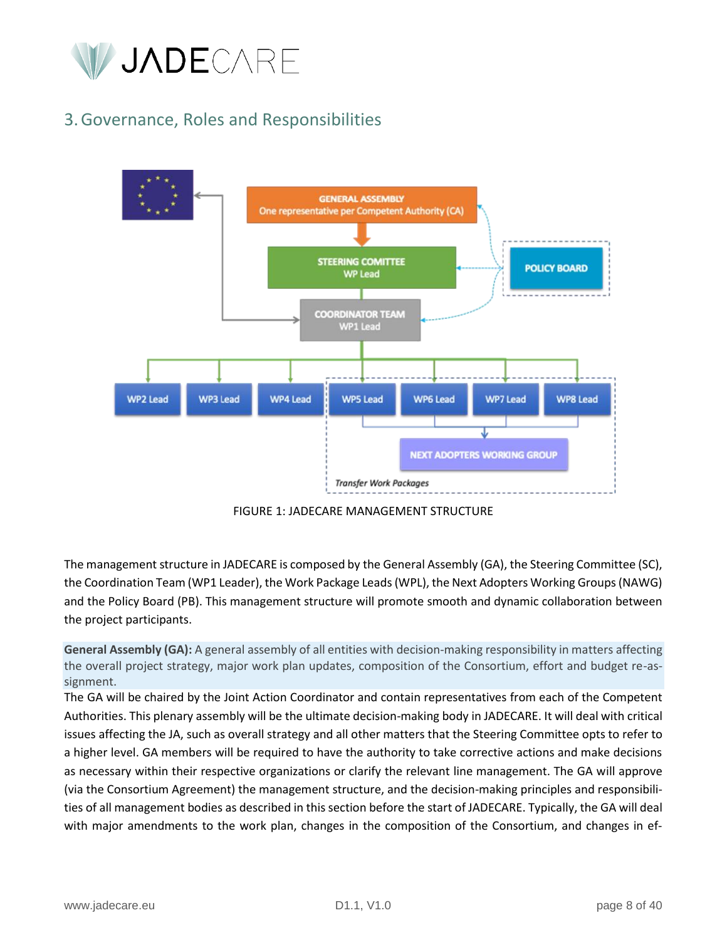

# <span id="page-7-0"></span>3.Governance, Roles and Responsibilities





The management structure in JADECARE is composed by the General Assembly (GA), the Steering Committee (SC), the Coordination Team (WP1 Leader), the Work Package Leads (WPL), the Next Adopters Working Groups (NAWG) and the Policy Board (PB). This management structure will promote smooth and dynamic collaboration between the project participants.

**General Assembly (GA):** A general assembly of all entities with decision-making responsibility in matters affecting the overall project strategy, major work plan updates, composition of the Consortium, effort and budget re-assignment.

The GA will be chaired by the Joint Action Coordinator and contain representatives from each of the Competent Authorities. This plenary assembly will be the ultimate decision-making body in JADECARE. It will deal with critical issues affecting the JA, such as overall strategy and all other matters that the Steering Committee opts to refer to a higher level. GA members will be required to have the authority to take corrective actions and make decisions as necessary within their respective organizations or clarify the relevant line management. The GA will approve (via the Consortium Agreement) the management structure, and the decision-making principles and responsibilities of all management bodies as described in this section before the start of JADECARE. Typically, the GA will deal with major amendments to the work plan, changes in the composition of the Consortium, and changes in ef-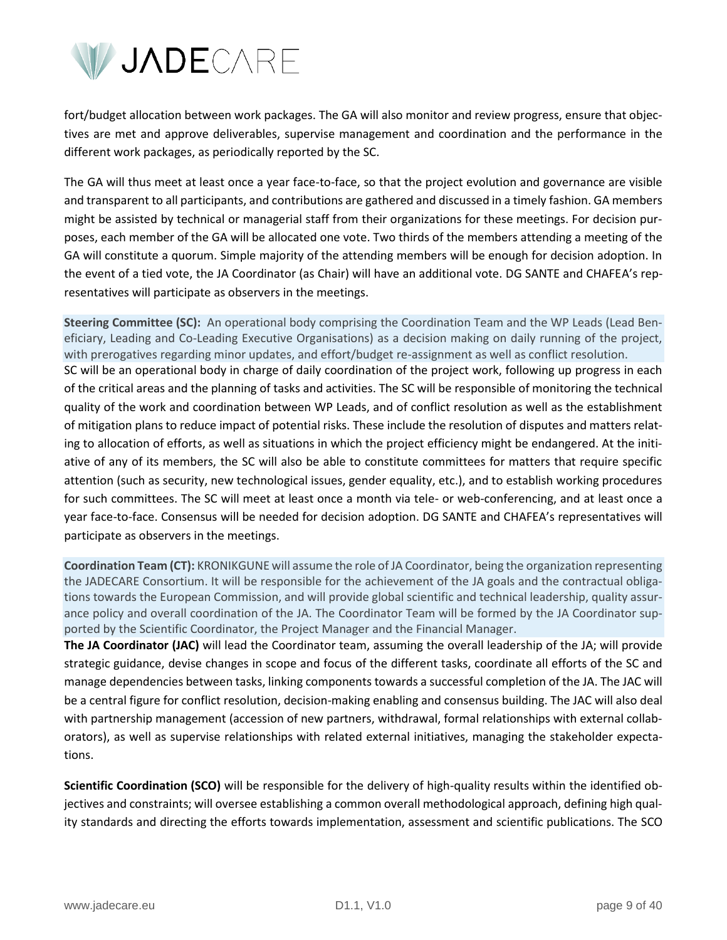

fort/budget allocation between work packages. The GA will also monitor and review progress, ensure that objectives are met and approve deliverables, supervise management and coordination and the performance in the different work packages, as periodically reported by the SC.

The GA will thus meet at least once a year face-to-face, so that the project evolution and governance are visible and transparent to all participants, and contributions are gathered and discussed in a timely fashion. GA members might be assisted by technical or managerial staff from their organizations for these meetings. For decision purposes, each member of the GA will be allocated one vote. Two thirds of the members attending a meeting of the GA will constitute a quorum. Simple majority of the attending members will be enough for decision adoption. In the event of a tied vote, the JA Coordinator (as Chair) will have an additional vote. DG SANTE and CHAFEA's representatives will participate as observers in the meetings.

**Steering Committee (SC):** An operational body comprising the Coordination Team and the WP Leads (Lead Beneficiary, Leading and Co-Leading Executive Organisations) as a decision making on daily running of the project, with prerogatives regarding minor updates, and effort/budget re-assignment as well as conflict resolution. SC will be an operational body in charge of daily coordination of the project work, following up progress in each of the critical areas and the planning of tasks and activities. The SC will be responsible of monitoring the technical quality of the work and coordination between WP Leads, and of conflict resolution as well as the establishment of mitigation plans to reduce impact of potential risks. These include the resolution of disputes and matters relating to allocation of efforts, as well as situations in which the project efficiency might be endangered. At the initiative of any of its members, the SC will also be able to constitute committees for matters that require specific attention (such as security, new technological issues, gender equality, etc.), and to establish working procedures for such committees. The SC will meet at least once a month via tele- or web-conferencing, and at least once a year face-to-face. Consensus will be needed for decision adoption. DG SANTE and CHAFEA's representatives will participate as observers in the meetings.

**Coordination Team (CT):** KRONIKGUNE will assume the role of JA Coordinator, being the organization representing the JADECARE Consortium. It will be responsible for the achievement of the JA goals and the contractual obligations towards the European Commission, and will provide global scientific and technical leadership, quality assurance policy and overall coordination of the JA. The Coordinator Team will be formed by the JA Coordinator supported by the Scientific Coordinator, the Project Manager and the Financial Manager.

**The JA Coordinator (JAC)** will lead the Coordinator team, assuming the overall leadership of the JA; will provide strategic guidance, devise changes in scope and focus of the different tasks, coordinate all efforts of the SC and manage dependencies between tasks, linking components towards a successful completion of the JA. The JAC will be a central figure for conflict resolution, decision-making enabling and consensus building. The JAC will also deal with partnership management (accession of new partners, withdrawal, formal relationships with external collaborators), as well as supervise relationships with related external initiatives, managing the stakeholder expectations.

**Scientific Coordination (SCO)** will be responsible for the delivery of high-quality results within the identified objectives and constraints; will oversee establishing a common overall methodological approach, defining high quality standards and directing the efforts towards implementation, assessment and scientific publications. The SCO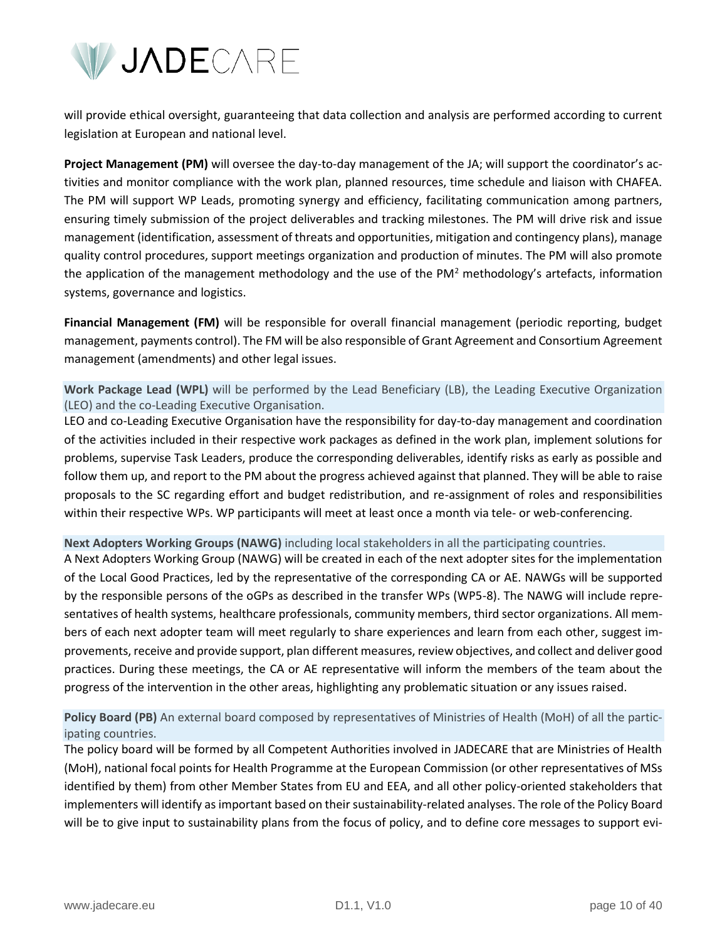

will provide ethical oversight, guaranteeing that data collection and analysis are performed according to current legislation at European and national level.

**Project Management (PM)** will oversee the day-to-day management of the JA; will support the coordinator's activities and monitor compliance with the work plan, planned resources, time schedule and liaison with CHAFEA. The PM will support WP Leads, promoting synergy and efficiency, facilitating communication among partners, ensuring timely submission of the project deliverables and tracking milestones. The PM will drive risk and issue management (identification, assessment of threats and opportunities, mitigation and contingency plans), manage quality control procedures, support meetings organization and production of minutes. The PM will also promote the application of the management methodology and the use of the PM<sup>2</sup> methodology's artefacts, information systems, governance and logistics.

**Financial Management (FM)** will be responsible for overall financial management (periodic reporting, budget management, payments control). The FM will be also responsible of Grant Agreement and Consortium Agreement management (amendments) and other legal issues.

**Work Package Lead (WPL)** will be performed by the Lead Beneficiary (LB), the Leading Executive Organization (LEO) and the co-Leading Executive Organisation.

LEO and co-Leading Executive Organisation have the responsibility for day-to-day management and coordination of the activities included in their respective work packages as defined in the work plan, implement solutions for problems, supervise Task Leaders, produce the corresponding deliverables, identify risks as early as possible and follow them up, and report to the PM about the progress achieved against that planned. They will be able to raise proposals to the SC regarding effort and budget redistribution, and re-assignment of roles and responsibilities within their respective WPs. WP participants will meet at least once a month via tele- or web-conferencing.

#### **Next Adopters Working Groups (NAWG)** including local stakeholders in all the participating countries.

A Next Adopters Working Group (NAWG) will be created in each of the next adopter sites for the implementation of the Local Good Practices, led by the representative of the corresponding CA or AE. NAWGs will be supported by the responsible persons of the oGPs as described in the transfer WPs (WP5-8). The NAWG will include representatives of health systems, healthcare professionals, community members, third sector organizations. All members of each next adopter team will meet regularly to share experiences and learn from each other, suggest improvements, receive and provide support, plan different measures, review objectives, and collect and deliver good practices. During these meetings, the CA or AE representative will inform the members of the team about the progress of the intervention in the other areas, highlighting any problematic situation or any issues raised.

**Policy Board (PB)** An external board composed by representatives of Ministries of Health (MoH) of all the participating countries.

The policy board will be formed by all Competent Authorities involved in JADECARE that are Ministries of Health (MoH), national focal points for Health Programme at the European Commission (or other representatives of MSs identified by them) from other Member States from EU and EEA, and all other policy-oriented stakeholders that implementers will identify as important based on their sustainability-related analyses. The role of the Policy Board will be to give input to sustainability plans from the focus of policy, and to define core messages to support evi-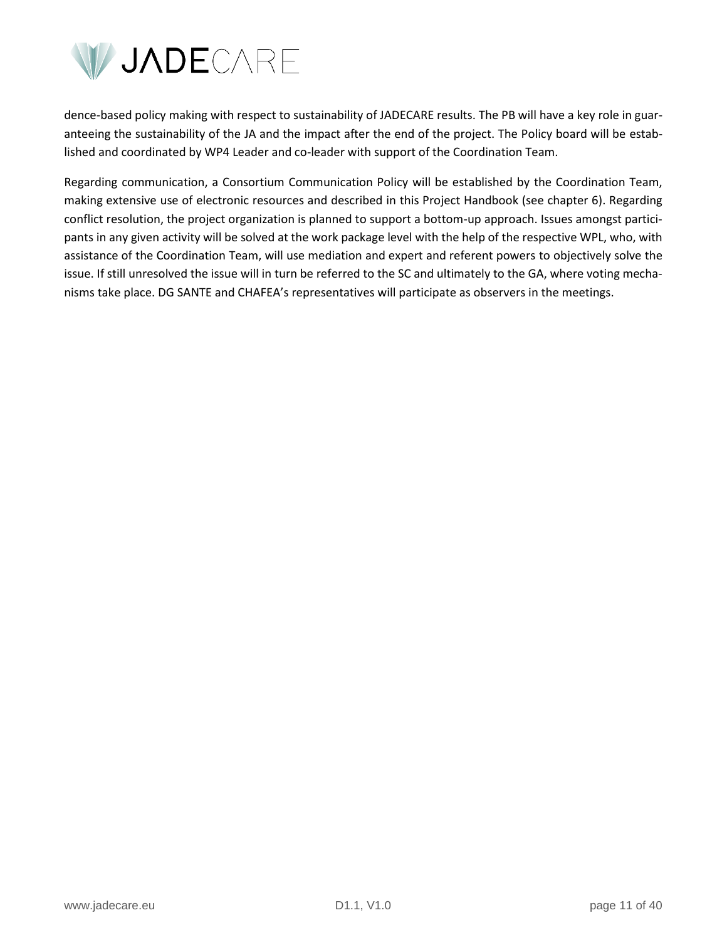

dence-based policy making with respect to sustainability of JADECARE results. The PB will have a key role in guaranteeing the sustainability of the JA and the impact after the end of the project. The Policy board will be established and coordinated by WP4 Leader and co-leader with support of the Coordination Team.

Regarding communication, a Consortium Communication Policy will be established by the Coordination Team, making extensive use of electronic resources and described in this Project Handbook (see chapter 6). Regarding conflict resolution, the project organization is planned to support a bottom-up approach. Issues amongst participants in any given activity will be solved at the work package level with the help of the respective WPL, who, with assistance of the Coordination Team, will use mediation and expert and referent powers to objectively solve the issue. If still unresolved the issue will in turn be referred to the SC and ultimately to the GA, where voting mechanisms take place. DG SANTE and CHAFEA's representatives will participate as observers in the meetings.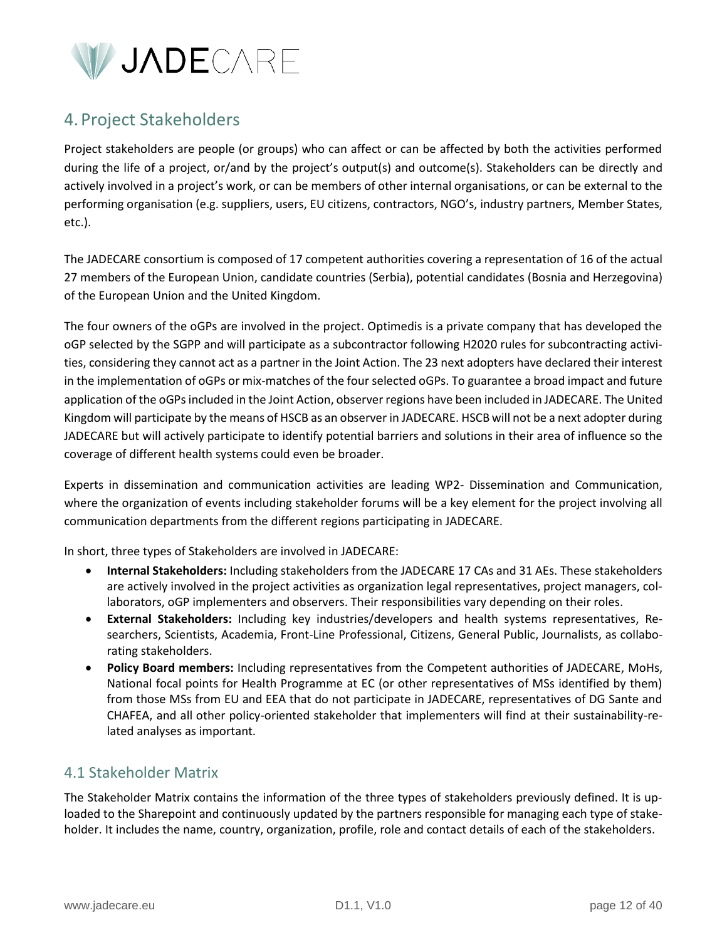

# <span id="page-11-0"></span>4. Project Stakeholders

Project stakeholders are people (or groups) who can affect or can be affected by both the activities performed during the life of a project, or/and by the project's output(s) and outcome(s). Stakeholders can be directly and actively involved in a project's work, or can be members of other internal organisations, or can be external to the performing organisation (e.g. suppliers, users, EU citizens, contractors, NGO's, industry partners, Member States, etc.).

The JADECARE consortium is composed of 17 competent authorities covering a representation of 16 of the actual 27 members of the European Union, candidate countries (Serbia), potential candidates (Bosnia and Herzegovina) of the European Union and the United Kingdom.

The four owners of the oGPs are involved in the project. Optimedis is a private company that has developed the oGP selected by the SGPP and will participate as a subcontractor following H2020 rules for subcontracting activities, considering they cannot act as a partner in the Joint Action. The 23 next adopters have declared their interest in the implementation of oGPs or mix-matches of the four selected oGPs. To guarantee a broad impact and future application of the oGPs included in the Joint Action, observer regions have been included in JADECARE. The United Kingdom will participate by the means of HSCB as an observer in JADECARE. HSCB will not be a next adopter during JADECARE but will actively participate to identify potential barriers and solutions in their area of influence so the coverage of different health systems could even be broader.

Experts in dissemination and communication activities are leading WP2- Dissemination and Communication, where the organization of events including stakeholder forums will be a key element for the project involving all communication departments from the different regions participating in JADECARE.

In short, three types of Stakeholders are involved in JADECARE:

- **Internal Stakeholders:** Including stakeholders from the JADECARE 17 CAs and 31 AEs. These stakeholders are actively involved in the project activities as organization legal representatives, project managers, collaborators, oGP implementers and observers. Their responsibilities vary depending on their roles.
- **External Stakeholders:** Including key industries/developers and health systems representatives, Researchers, Scientists, Academia, Front-Line Professional, Citizens, General Public, Journalists, as collaborating stakeholders.
- **Policy Board members:** Including representatives from the Competent authorities of JADECARE, MoHs, National focal points for Health Programme at EC (or other representatives of MSs identified by them) from those MSs from EU and EEA that do not participate in JADECARE, representatives of DG Sante and CHAFEA, and all other policy-oriented stakeholder that implementers will find at their sustainability-related analyses as important.

# <span id="page-11-1"></span>4.1 Stakeholder Matrix

The Stakeholder Matrix contains the information of the three types of stakeholders previously defined. It is uploaded to the Sharepoint and continuously updated by the partners responsible for managing each type of stakeholder. It includes the name, country, organization, profile, role and contact details of each of the stakeholders.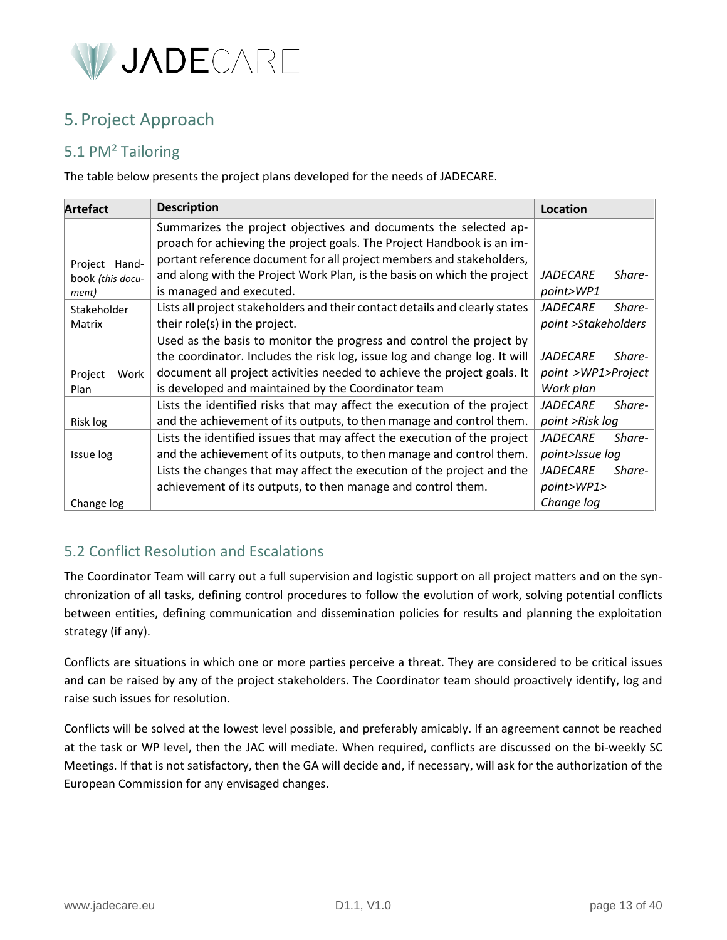

# <span id="page-12-0"></span>5. Project Approach

# <span id="page-12-1"></span>5.1 PM² Tailoring

The table below presents the project plans developed for the needs of JADECARE.

| <b>Artefact</b>  | <b>Description</b>                                                          | Location            |        |
|------------------|-----------------------------------------------------------------------------|---------------------|--------|
|                  | Summarizes the project objectives and documents the selected ap-            |                     |        |
|                  | proach for achieving the project goals. The Project Handbook is an im-      |                     |        |
| Project Hand-    | portant reference document for all project members and stakeholders,        |                     |        |
| book (this docu- | and along with the Project Work Plan, is the basis on which the project     | <i>JADECARE</i>     | Share- |
| ment)            | is managed and executed.                                                    | point>WP1           |        |
| Stakeholder      | Lists all project stakeholders and their contact details and clearly states | <b>JADECARE</b>     | Share- |
| Matrix           | their role(s) in the project.                                               | point >Stakeholders |        |
|                  | Used as the basis to monitor the progress and control the project by        |                     |        |
|                  | the coordinator. Includes the risk log, issue log and change log. It will   | <i>JADECARE</i>     | Share- |
| Project<br>Work  | document all project activities needed to achieve the project goals. It     | point >WP1>Project  |        |
| Plan             | is developed and maintained by the Coordinator team                         | Work plan           |        |
|                  | Lists the identified risks that may affect the execution of the project     | <b>JADECARE</b>     | Share- |
| Risk log         | and the achievement of its outputs, to then manage and control them.        | point >Risk log     |        |
|                  | Lists the identified issues that may affect the execution of the project    | <b>JADECARE</b>     | Share- |
| Issue log        | and the achievement of its outputs, to then manage and control them.        | point>Issue log     |        |
|                  | Lists the changes that may affect the execution of the project and the      | <b>JADECARE</b>     | Share- |
|                  | achievement of its outputs, to then manage and control them.                | point>WP1>          |        |
| Change log       |                                                                             | Change log          |        |

# <span id="page-12-2"></span>5.2 Conflict Resolution and Escalations

The Coordinator Team will carry out a full supervision and logistic support on all project matters and on the synchronization of all tasks, defining control procedures to follow the evolution of work, solving potential conflicts between entities, defining communication and dissemination policies for results and planning the exploitation strategy (if any).

Conflicts are situations in which one or more parties perceive a threat. They are considered to be critical issues and can be raised by any of the project stakeholders. The Coordinator team should proactively identify, log and raise such issues for resolution.

Conflicts will be solved at the lowest level possible, and preferably amicably. If an agreement cannot be reached at the task or WP level, then the JAC will mediate. When required, conflicts are discussed on the bi-weekly SC Meetings. If that is not satisfactory, then the GA will decide and, if necessary, will ask for the authorization of the European Commission for any envisaged changes.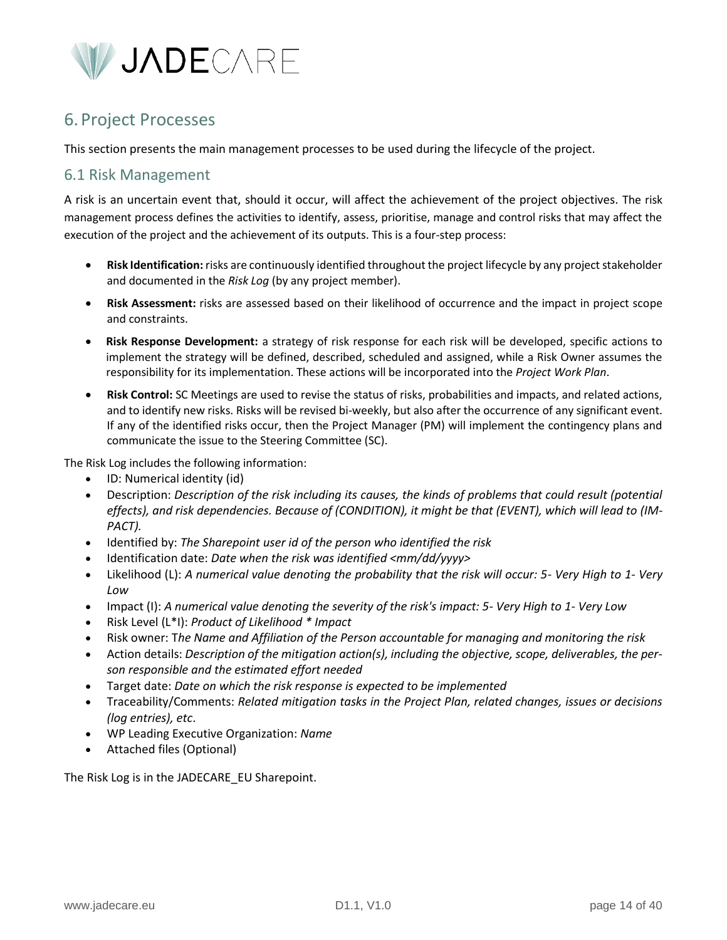

# <span id="page-13-0"></span>6. Project Processes

This section presents the main management processes to be used during the lifecycle of the project.

# <span id="page-13-1"></span>6.1 Risk Management

A risk is an uncertain event that, should it occur, will affect the achievement of the project objectives. The risk management process defines the activities to identify, assess, prioritise, manage and control risks that may affect the execution of the project and the achievement of its outputs. This is a four-step process:

- **Risk Identification:** risks are continuously identified throughout the project lifecycle by any project stakeholder and documented in the *Risk Log* (by any project member).
- **Risk Assessment:** risks are assessed based on their likelihood of occurrence and the impact in project scope and constraints.
- **Risk Response Development:** a strategy of risk response for each risk will be developed, specific actions to implement the strategy will be defined, described, scheduled and assigned, while a Risk Owner assumes the responsibility for its implementation. These actions will be incorporated into the *Project Work Plan*.
- **Risk Control:** SC Meetings are used to revise the status of risks, probabilities and impacts, and related actions, and to identify new risks. Risks will be revised bi-weekly, but also after the occurrence of any significant event. If any of the identified risks occur, then the Project Manager (PM) will implement the contingency plans and communicate the issue to the Steering Committee (SC).

The Risk Log includes the following information:

- ID: Numerical identity (id)
- Description: *Description of the risk including its causes, the kinds of problems that could result (potential effects), and risk dependencies. Because of (CONDITION), it might be that (EVENT), which will lead to (IM-PACT).*
- Identified by: *The Sharepoint user id of the person who identified the risk*
- Identification date: *Date when the risk was identified <mm/dd/yyyy>*
- Likelihood (L): *A numerical value denoting the probability that the risk will occur: 5- Very High to 1- Very Low*
- Impact (I): *A numerical value denoting the severity of the risk's impact: 5- Very High to 1- Very Low*
- Risk Level (L\*I): *Product of Likelihood \* Impact*
- Risk owner: T*he Name and Affiliation of the Person accountable for managing and monitoring the risk*
- Action details: *Description of the mitigation action(s), including the objective, scope, deliverables, the person responsible and the estimated effort needed*
- Target date: *Date on which the risk response is expected to be implemented*
- Traceability/Comments: *Related mitigation tasks in the Project Plan, related changes, issues or decisions (log entries), etc*.
- WP Leading Executive Organization: *Name*
- Attached files (Optional)

The Risk Log is in the JADECARE\_EU Sharepoint.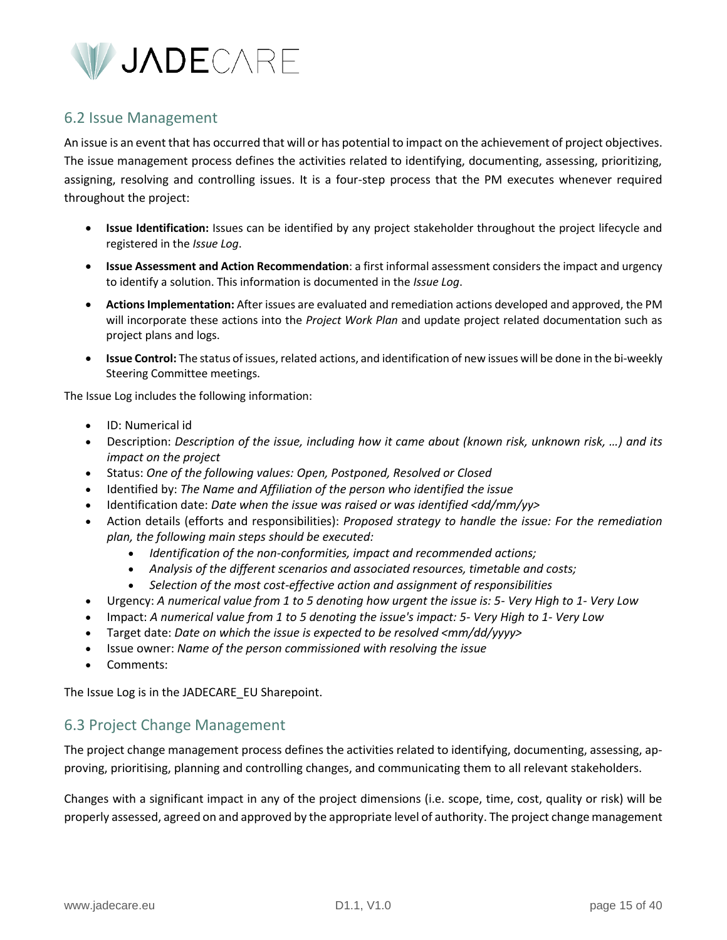

# <span id="page-14-0"></span>6.2 Issue Management

An issue is an event that has occurred that will or has potential to impact on the achievement of project objectives. The issue management process defines the activities related to identifying, documenting, assessing, prioritizing, assigning, resolving and controlling issues. It is a four-step process that the PM executes whenever required throughout the project:

- **Issue Identification:** Issues can be identified by any project stakeholder throughout the project lifecycle and registered in the *Issue Log*.
- **Issue Assessment and Action Recommendation**: a first informal assessment considers the impact and urgency to identify a solution. This information is documented in the *Issue Log*.
- **Actions Implementation:** After issues are evaluated and remediation actions developed and approved, the PM will incorporate these actions into the *Project Work Plan* and update project related documentation such as project plans and logs.
- **Issue Control:** The status of issues, related actions, and identification of new issues will be done in the bi-weekly Steering Committee meetings.

The Issue Log includes the following information:

- ID: Numerical id
- Description: *Description of the issue, including how it came about (known risk, unknown risk, …) and its impact on the project*
- Status: *One of the following values: Open, Postponed, Resolved or Closed*
- Identified by: *The Name and Affiliation of the person who identified the issue*
- Identification date: *Date when the issue was raised or was identified <dd/mm/yy>*
- Action details (efforts and responsibilities): *Proposed strategy to handle the issue: For the remediation plan, the following main steps should be executed:*
	- *Identification of the non-conformities, impact and recommended actions;*
	- *Analysis of the different scenarios and associated resources, timetable and costs;*
	- *Selection of the most cost-effective action and assignment of responsibilities*
- Urgency: *A numerical value from 1 to 5 denoting how urgent the issue is: 5- Very High to 1- Very Low*
- Impact: *A numerical value from 1 to 5 denoting the issue's impact: 5- Very High to 1- Very Low*
- Target date: *Date on which the issue is expected to be resolved <mm/dd/yyyy>*
- Issue owner: *Name of the person commissioned with resolving the issue*
- Comments:

The Issue Log is in the JADECARE EU Sharepoint.

# <span id="page-14-1"></span>6.3 Project Change Management

The project change management process defines the activities related to identifying, documenting, assessing, approving, prioritising, planning and controlling changes, and communicating them to all relevant stakeholders.

Changes with a significant impact in any of the project dimensions (i.e. scope, time, cost, quality or risk) will be properly assessed, agreed on and approved by the appropriate level of authority. The project change management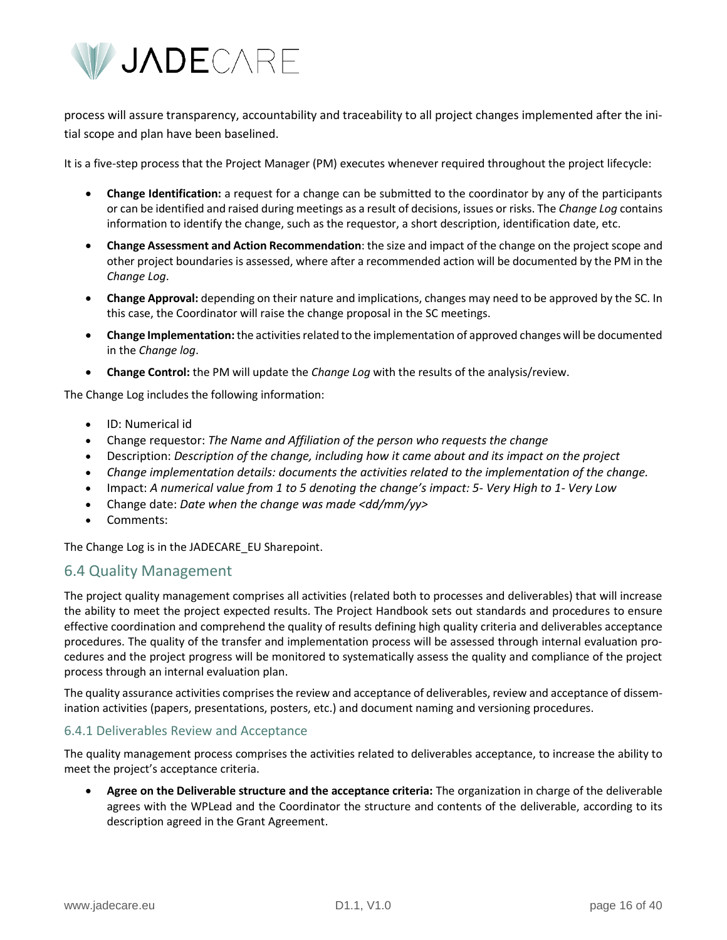

process will assure transparency, accountability and traceability to all project changes implemented after the initial scope and plan have been baselined.

It is a five-step process that the Project Manager (PM) executes whenever required throughout the project lifecycle:

- **Change Identification:** a request for a change can be submitted to the coordinator by any of the participants or can be identified and raised during meetings as a result of decisions, issues or risks. The *Change Log* contains information to identify the change, such as the requestor, a short description, identification date, etc.
- **Change Assessment and Action Recommendation**: the size and impact of the change on the project scope and other project boundaries is assessed, where after a recommended action will be documented by the PM in the *Change Log*.
- **Change Approval:** depending on their nature and implications, changes may need to be approved by the SC. In this case, the Coordinator will raise the change proposal in the SC meetings.
- **Change Implementation:**the activities related to the implementation of approved changes will be documented in the *Change log*.
- **Change Control:** the PM will update the *Change Log* with the results of the analysis/review.

The Change Log includes the following information:

- ID: Numerical id
- Change requestor: *The Name and Affiliation of the person who requests the change*
- Description: *Description of the change, including how it came about and its impact on the project*
- *Change implementation details: documents the activities related to the implementation of the change.*
- Impact: *A numerical value from 1 to 5 denoting the change's impact: 5- Very High to 1- Very Low*
- Change date: *Date when the change was made <dd/mm/yy>*
- Comments:

The Change Log is in the JADECARE EU Sharepoint.

### <span id="page-15-0"></span>6.4 Quality Management

The project quality management comprises all activities (related both to processes and deliverables) that will increase the ability to meet the project expected results. The Project Handbook sets out standards and procedures to ensure effective coordination and comprehend the quality of results defining high quality criteria and deliverables acceptance procedures. The quality of the transfer and implementation process will be assessed through internal evaluation procedures and the project progress will be monitored to systematically assess the quality and compliance of the project process through an internal evaluation plan.

The quality assurance activities comprises the review and acceptance of deliverables, review and acceptance of dissemination activities (papers, presentations, posters, etc.) and document naming and versioning procedures.

#### <span id="page-15-1"></span>6.4.1 Deliverables Review and Acceptance

The quality management process comprises the activities related to deliverables acceptance, to increase the ability to meet the project's acceptance criteria.

• **Agree on the Deliverable structure and the acceptance criteria:** The organization in charge of the deliverable agrees with the WPLead and the Coordinator the structure and contents of the deliverable, according to its description agreed in the Grant Agreement.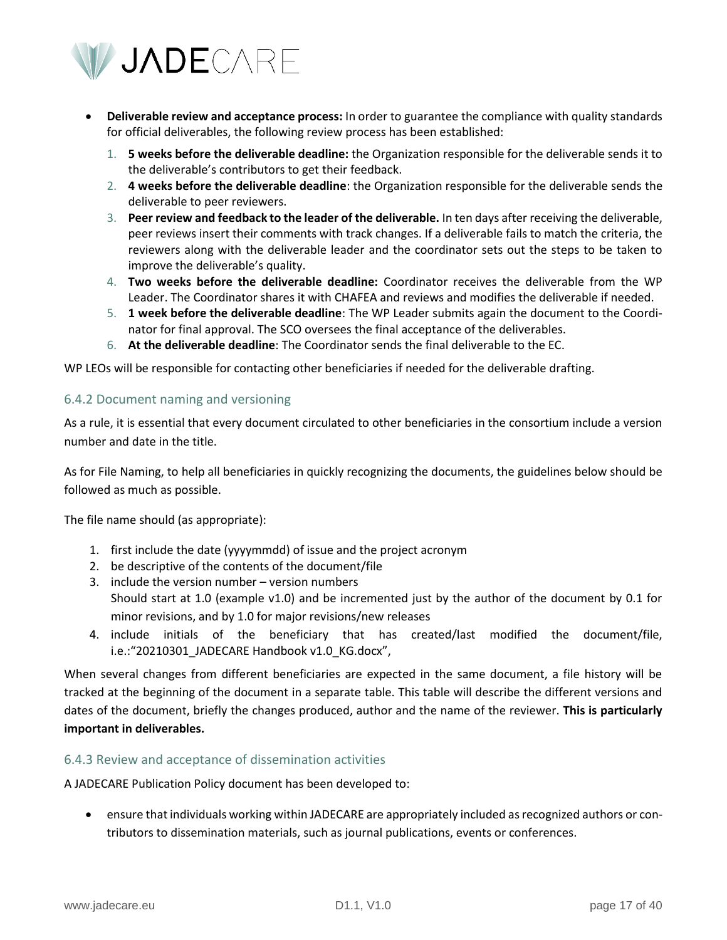

- **Deliverable review and acceptance process:** In order to guarantee the compliance with quality standards for official deliverables, the following review process has been established:
	- 1. **5 weeks before the deliverable deadline:** the Organization responsible for the deliverable sends it to the deliverable's contributors to get their feedback.
	- 2. **4 weeks before the deliverable deadline**: the Organization responsible for the deliverable sends the deliverable to peer reviewers.
	- 3. **Peer review and feedback to the leader of the deliverable.** In ten days after receiving the deliverable, peer reviews insert their comments with track changes. If a deliverable fails to match the criteria, the reviewers along with the deliverable leader and the coordinator sets out the steps to be taken to improve the deliverable's quality.
	- 4. **Two weeks before the deliverable deadline:** Coordinator receives the deliverable from the WP Leader. The Coordinator shares it with CHAFEA and reviews and modifies the deliverable if needed.
	- 5. **1 week before the deliverable deadline**: The WP Leader submits again the document to the Coordinator for final approval. The SCO oversees the final acceptance of the deliverables.
	- 6. **At the deliverable deadline**: The Coordinator sends the final deliverable to the EC.

WP LEOs will be responsible for contacting other beneficiaries if needed for the deliverable drafting.

#### <span id="page-16-0"></span>6.4.2 Document naming and versioning

As a rule, it is essential that every document circulated to other beneficiaries in the consortium include a version number and date in the title.

As for File Naming, to help all beneficiaries in quickly recognizing the documents, the guidelines below should be followed as much as possible.

The file name should (as appropriate):

- 1. first include the date (yyyymmdd) of issue and the project acronym
- 2. be descriptive of the contents of the document/file
- 3. include the version number version numbers Should start at 1.0 (example v1.0) and be incremented just by the author of the document by 0.1 for minor revisions, and by 1.0 for major revisions/new releases
- 4. include initials of the beneficiary that has created/last modified the document/file, i.e.:"20210301\_JADECARE Handbook v1.0\_KG.docx",

When several changes from different beneficiaries are expected in the same document, a file history will be tracked at the beginning of the document in a separate table. This table will describe the different versions and dates of the document, briefly the changes produced, author and the name of the reviewer. **This is particularly important in deliverables.**

#### <span id="page-16-1"></span>6.4.3 Review and acceptance of dissemination activities

A JADECARE Publication Policy document has been developed to:

• ensure that individuals working within JADECARE are appropriately included as recognized authors or contributors to dissemination materials, such as journal publications, events or conferences.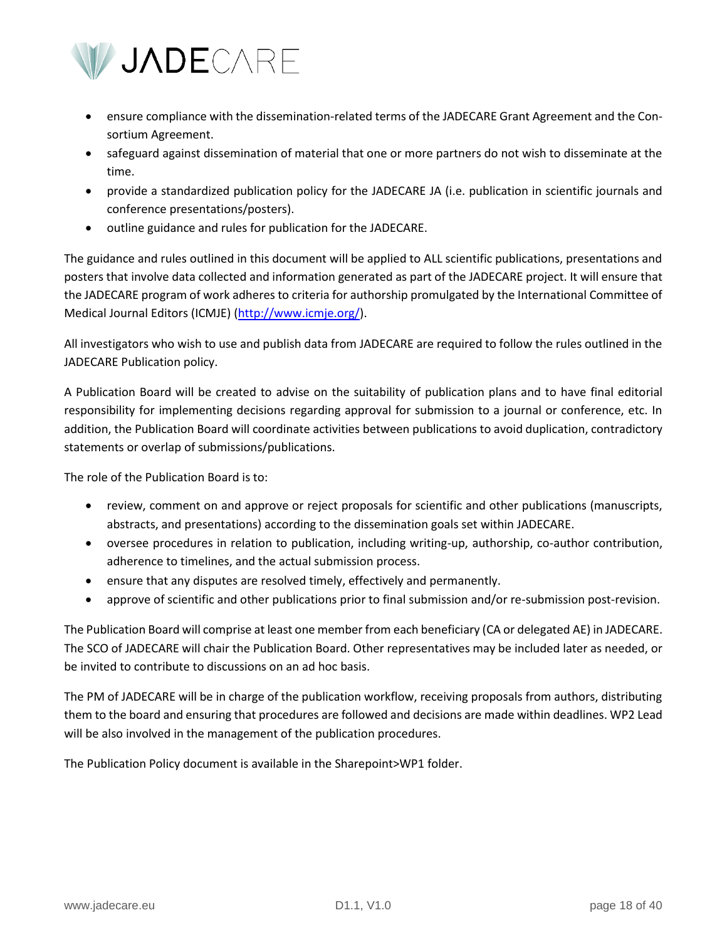

- ensure compliance with the dissemination-related terms of the JADECARE Grant Agreement and the Consortium Agreement.
- safeguard against dissemination of material that one or more partners do not wish to disseminate at the time.
- provide a standardized publication policy for the JADECARE JA (i.e. publication in scientific journals and conference presentations/posters).
- outline guidance and rules for publication for the JADECARE.

The guidance and rules outlined in this document will be applied to ALL scientific publications, presentations and posters that involve data collected and information generated as part of the JADECARE project. It will ensure that the JADECARE program of work adheres to criteria for authorship promulgated by the International Committee of Medical Journal Editors (ICMJE) [\(http://www.icmje.org/\)](http://www.icmje.org/).

All investigators who wish to use and publish data from JADECARE are required to follow the rules outlined in the JADECARE Publication policy.

A Publication Board will be created to advise on the suitability of publication plans and to have final editorial responsibility for implementing decisions regarding approval for submission to a journal or conference, etc. In addition, the Publication Board will coordinate activities between publications to avoid duplication, contradictory statements or overlap of submissions/publications.

The role of the Publication Board is to:

- review, comment on and approve or reject proposals for scientific and other publications (manuscripts, abstracts, and presentations) according to the dissemination goals set within JADECARE.
- oversee procedures in relation to publication, including writing-up, authorship, co-author contribution, adherence to timelines, and the actual submission process.
- ensure that any disputes are resolved timely, effectively and permanently.
- approve of scientific and other publications prior to final submission and/or re-submission post-revision.

The Publication Board will comprise at least one member from each beneficiary (CA or delegated AE) in JADECARE. The SCO of JADECARE will chair the Publication Board. Other representatives may be included later as needed, or be invited to contribute to discussions on an ad hoc basis.

The PM of JADECARE will be in charge of the publication workflow, receiving proposals from authors, distributing them to the board and ensuring that procedures are followed and decisions are made within deadlines. WP2 Lead will be also involved in the management of the publication procedures.

The Publication Policy document is available in the Sharepoint>WP1 folder.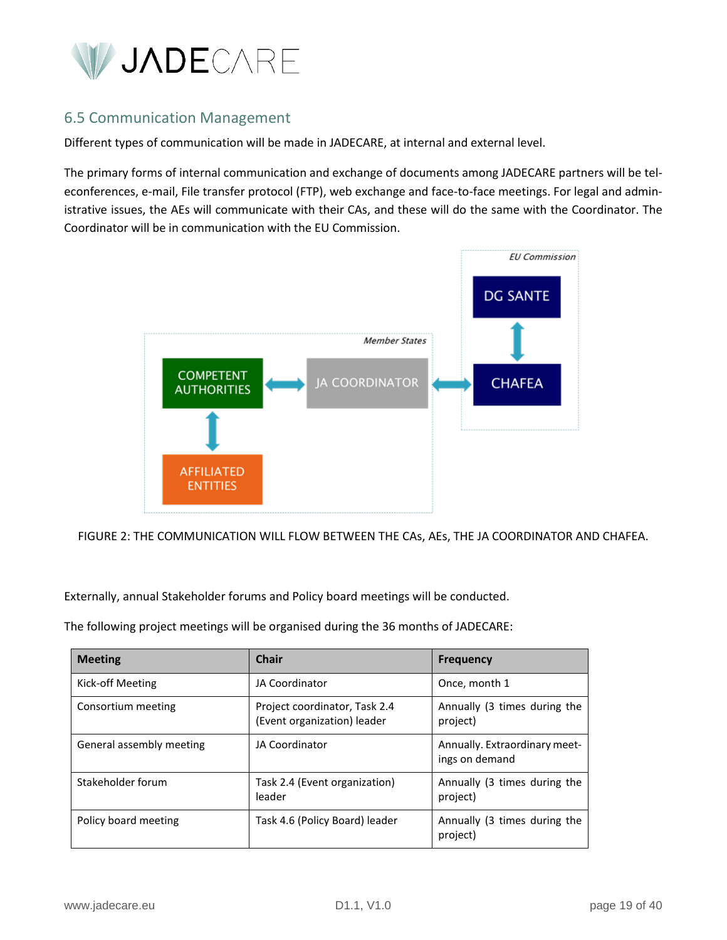

# <span id="page-18-0"></span>6.5 Communication Management

Different types of communication will be made in JADECARE, at internal and external level.

The primary forms of internal communication and exchange of documents among JADECARE partners will be teleconferences, e-mail, File transfer protocol (FTP), web exchange and face-to-face meetings. For legal and administrative issues, the AEs will communicate with their CAs, and these will do the same with the Coordinator. The Coordinator will be in communication with the EU Commission.



FIGURE 2: THE COMMUNICATION WILL FLOW BETWEEN THE CAs, AEs, THE JA COORDINATOR AND CHAFEA.

Externally, annual Stakeholder forums and Policy board meetings will be conducted.

The following project meetings will be organised during the 36 months of JADECARE:

| <b>Meeting</b>           | Chair                                                        | <b>Frequency</b>                                |
|--------------------------|--------------------------------------------------------------|-------------------------------------------------|
| Kick-off Meeting         | JA Coordinator                                               | Once, month 1                                   |
| Consortium meeting       | Project coordinator, Task 2.4<br>(Event organization) leader | Annually (3 times during the<br>project)        |
| General assembly meeting | JA Coordinator                                               | Annually. Extraordinary meet-<br>ings on demand |
| Stakeholder forum        | Task 2.4 (Event organization)<br>leader                      | Annually (3 times during the<br>project)        |
| Policy board meeting     | Task 4.6 (Policy Board) leader                               | Annually (3 times during the<br>project)        |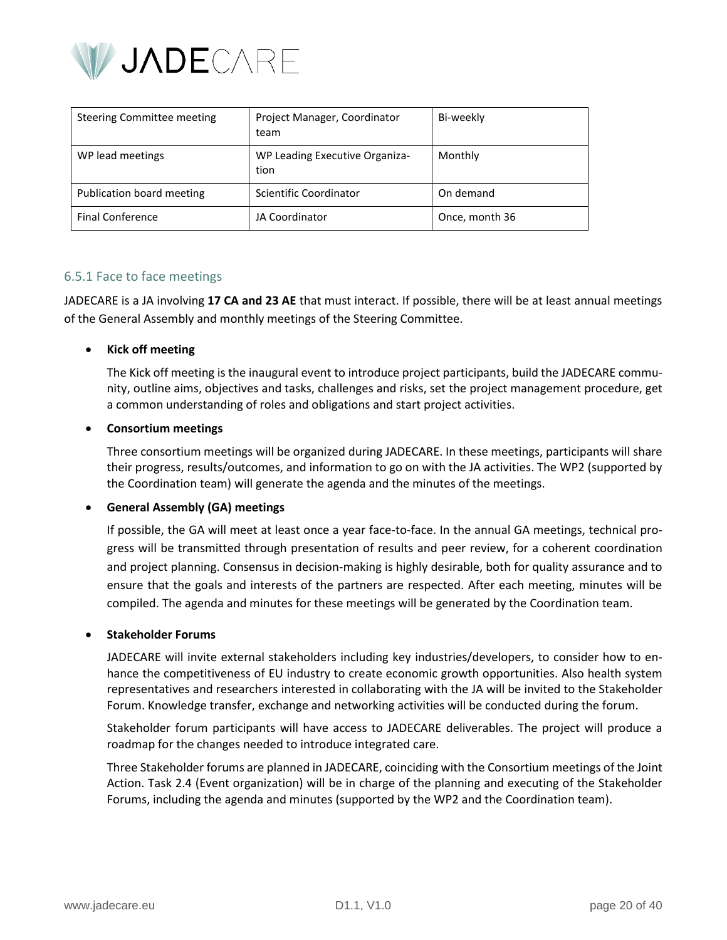

| Steering Committee meeting | Project Manager, Coordinator<br>team   | Bi-weekly      |
|----------------------------|----------------------------------------|----------------|
| WP lead meetings           | WP Leading Executive Organiza-<br>tion | Monthly        |
| Publication board meeting  | Scientific Coordinator                 | On demand      |
| <b>Final Conference</b>    | JA Coordinator                         | Once, month 36 |

#### <span id="page-19-0"></span>6.5.1 Face to face meetings

JADECARE is a JA involving **17 CA and 23 AE** that must interact. If possible, there will be at least annual meetings of the General Assembly and monthly meetings of the Steering Committee.

#### • **Kick off meeting**

The Kick off meeting is the inaugural event to introduce project participants, build the JADECARE community, outline aims, objectives and tasks, challenges and risks, set the project management procedure, get a common understanding of roles and obligations and start project activities.

#### • **Consortium meetings**

Three consortium meetings will be organized during JADECARE. In these meetings, participants will share their progress, results/outcomes, and information to go on with the JA activities. The WP2 (supported by the Coordination team) will generate the agenda and the minutes of the meetings.

#### • **General Assembly (GA) meetings**

If possible, the GA will meet at least once a year face-to-face. In the annual GA meetings, technical progress will be transmitted through presentation of results and peer review, for a coherent coordination and project planning. Consensus in decision-making is highly desirable, both for quality assurance and to ensure that the goals and interests of the partners are respected. After each meeting, minutes will be compiled. The agenda and minutes for these meetings will be generated by the Coordination team.

#### • **Stakeholder Forums**

JADECARE will invite external stakeholders including key industries/developers, to consider how to enhance the competitiveness of EU industry to create economic growth opportunities. Also health system representatives and researchers interested in collaborating with the JA will be invited to the Stakeholder Forum. Knowledge transfer, exchange and networking activities will be conducted during the forum.

Stakeholder forum participants will have access to JADECARE deliverables. The project will produce a roadmap for the changes needed to introduce integrated care.

Three Stakeholder forums are planned in JADECARE, coinciding with the Consortium meetings of the Joint Action. Task 2.4 (Event organization) will be in charge of the planning and executing of the Stakeholder Forums, including the agenda and minutes (supported by the WP2 and the Coordination team).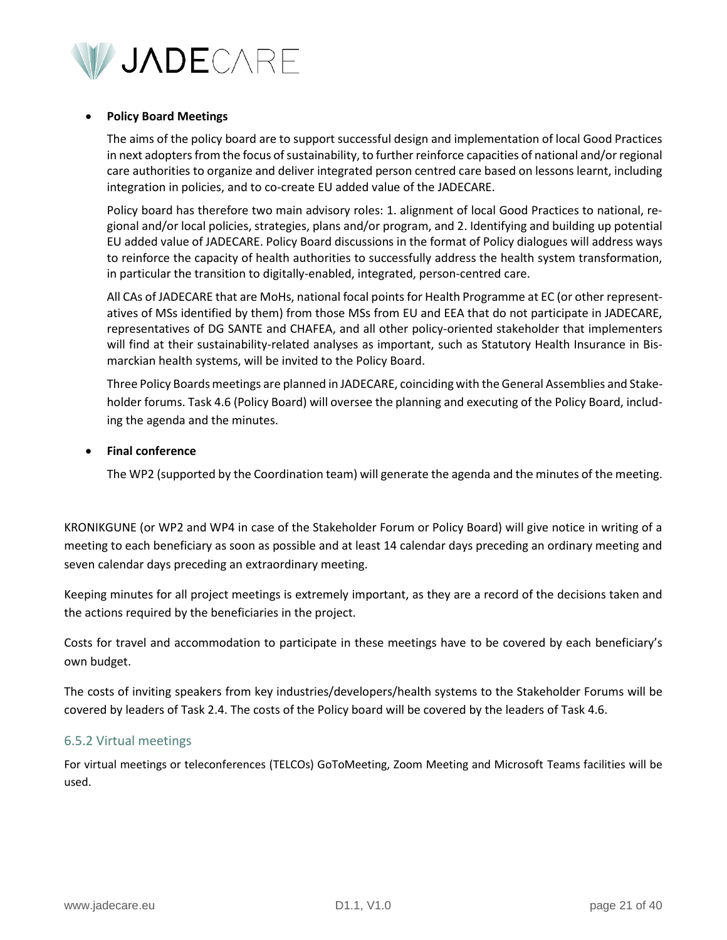

#### • **Policy Board Meetings**

The aims of the policy board are to support successful design and implementation of local Good Practices in next adopters from the focus of sustainability, to further reinforce capacities of national and/or regional care authorities to organize and deliver integrated person centred care based on lessons learnt, including integration in policies, and to co-create EU added value of the JADECARE.

Policy board has therefore two main advisory roles: 1. alignment of local Good Practices to national, regional and/or local policies, strategies, plans and/or program, and 2. Identifying and building up potential EU added value of JADECARE. Policy Board discussions in the format of Policy dialogues will address ways to reinforce the capacity of health authorities to successfully address the health system transformation, in particular the transition to digitally-enabled, integrated, person-centred care.

All CAs of JADECARE that are MoHs, national focal points for Health Programme at EC (or other representatives of MSs identified by them) from those MSs from EU and EEA that do not participate in JADECARE, representatives of DG SANTE and CHAFEA, and all other policy-oriented stakeholder that implementers will find at their sustainability-related analyses as important, such as Statutory Health Insurance in Bismarckian health systems, will be invited to the Policy Board.

Three Policy Boards meetings are planned in JADECARE, coinciding with the General Assemblies and Stakeholder forums. Task 4.6 (Policy Board) will oversee the planning and executing of the Policy Board, including the agenda and the minutes.

#### • **Final conference**

The WP2 (supported by the Coordination team) will generate the agenda and the minutes of the meeting.

KRONIKGUNE (or WP2 and WP4 in case of the Stakeholder Forum or Policy Board) will give notice in writing of a meeting to each beneficiary as soon as possible and at least 14 calendar days preceding an ordinary meeting and seven calendar days preceding an extraordinary meeting.

Keeping minutes for all project meetings is extremely important, as they are a record of the decisions taken and the actions required by the beneficiaries in the project.

Costs for travel and accommodation to participate in these meetings have to be covered by each beneficiary's own budget.

The costs of inviting speakers from key industries/developers/health systems to the Stakeholder Forums will be covered by leaders of Task 2.4. The costs of the Policy board will be covered by the leaders of Task 4.6.

#### <span id="page-20-0"></span>6.5.2 Virtual meetings

For virtual meetings or teleconferences (TELCOs) GoToMeeting, Zoom Meeting and Microsoft Teams facilities will be used.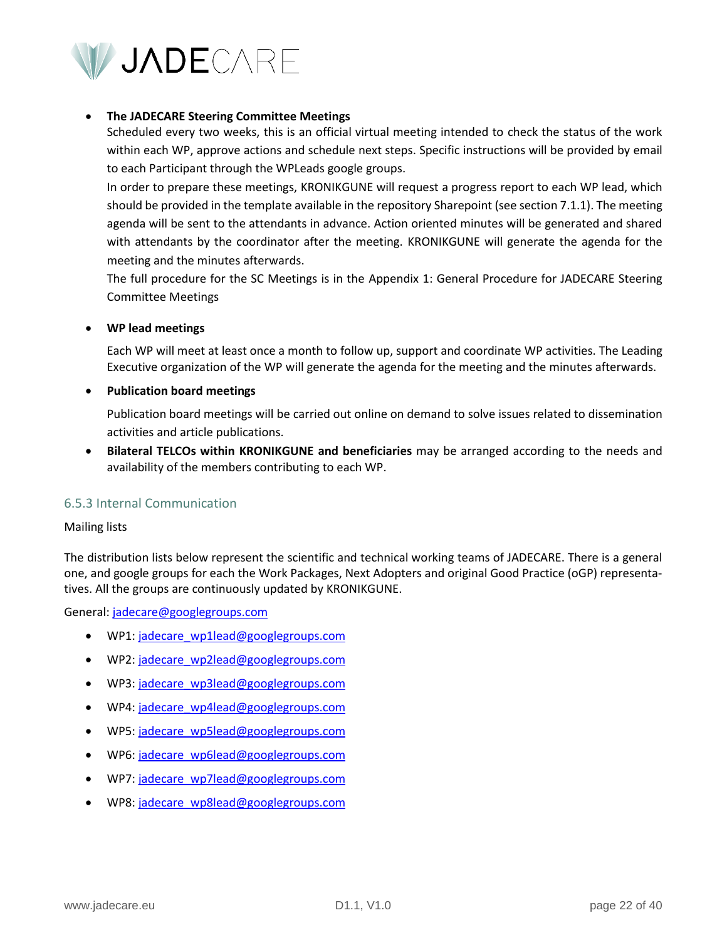

#### • **The JADECARE Steering Committee Meetings**

Scheduled every two weeks, this is an official virtual meeting intended to check the status of the work within each WP, approve actions and schedule next steps. Specific instructions will be provided by email to each Participant through the WPLeads google groups.

In order to prepare these meetings, KRONIKGUNE will request a progress report to each WP lead, which should be provided in the template available in the repository Sharepoint (see section 7.1.1). The meeting agenda will be sent to the attendants in advance. Action oriented minutes will be generated and shared with attendants by the coordinator after the meeting. KRONIKGUNE will generate the agenda for the meeting and the minutes afterwards.

The full procedure for the SC Meetings is in the Appendix 1: General Procedure for JADECARE Steering Committee Meetings

#### • **WP lead meetings**

Each WP will meet at least once a month to follow up, support and coordinate WP activities. The Leading Executive organization of the WP will generate the agenda for the meeting and the minutes afterwards.

#### • **Publication board meetings**

Publication board meetings will be carried out online on demand to solve issues related to dissemination activities and article publications.

• **Bilateral TELCOs within KRONIKGUNE and beneficiaries** may be arranged according to the needs and availability of the members contributing to each WP.

#### <span id="page-21-0"></span>6.5.3 Internal Communication

#### Mailing lists

The distribution lists below represent the scientific and technical working teams of JADECARE. There is a general one, and google groups for each the Work Packages, Next Adopters and original Good Practice (oGP) representatives. All the groups are continuously updated by KRONIKGUNE.

General[: jadecare@googlegroups.com](mailto:jadecare@googlegroups.com)

- WP1[: jadecare\\_wp1lead@googlegroups.com](mailto:jadecare_wp1lead@googlegroups.com)
- WP2[: jadecare\\_wp2lead@googlegroups.com](mailto:jadecare_wp2lead@googlegroups.com)
- WP3[: jadecare\\_wp3lead@googlegroups.com](mailto:jadecare_wp3lead@googlegroups.com)
- WP4[: jadecare\\_wp4lead@googlegroups.com](mailto:jadecare_wp4lead@googlegroups.com)
- WP5[: jadecare\\_wp5lead@googlegroups.com](mailto:jadecare_wp5lead@googlegroups.com)
- WP6[: jadecare\\_wp6lead@googlegroups.com](mailto:jadecare_wp6lead@googlegroups.com)
- WP7[: jadecare\\_wp7lead@googlegroups.com](mailto:jadecare_wp7lead@googlegroups.com)
- WP8[: jadecare\\_wp8lead@googlegroups.com](mailto:jadecare_wp8lead@googlegroups.com)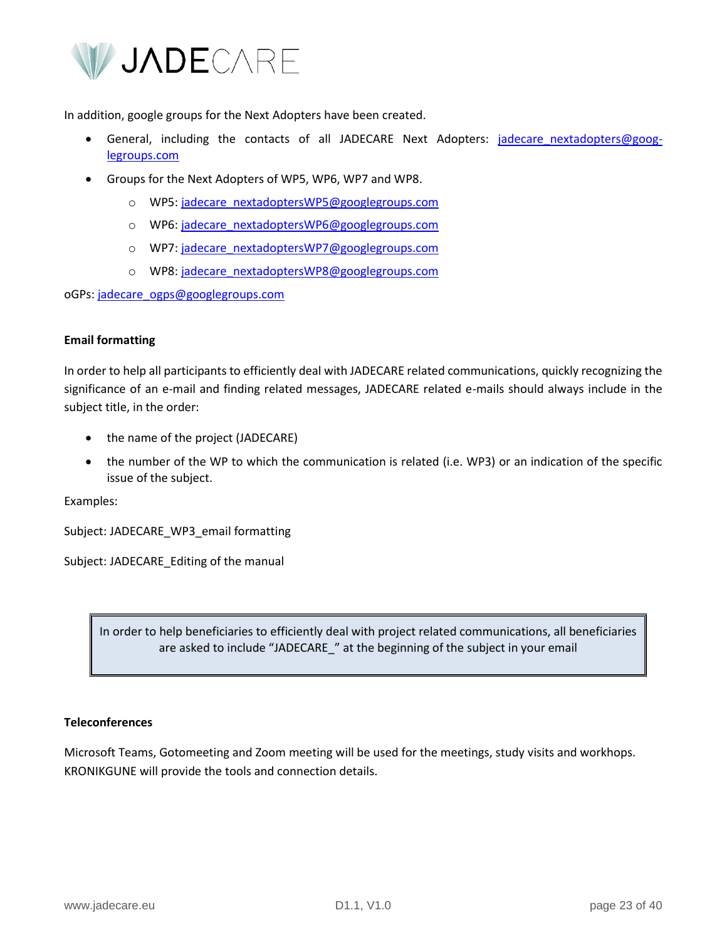

In addition, google groups for the Next Adopters have been created.

- General, including the contacts of all JADECARE Next Adopters: jadecare nextadopters@goog[legroups.com](mailto:jadecare_nextadopters@googlegroups.com)
- Groups for the Next Adopters of WP5, WP6, WP7 and WP8.
	- o WP5[: jadecare\\_nextadoptersWP5@googlegroups.com](mailto:jadecare_nextadoptersWP5@googlegroups.com)
	- o WP6[: jadecare\\_nextadoptersWP6@googlegroups.com](mailto:jadecare_nextadoptersWP6@googlegroups.com)
	- o WP7[: jadecare\\_nextadoptersWP7@googlegroups.com](mailto:jadecare_nextadoptersWP7@googlegroups.com)
	- o WP8[: jadecare\\_nextadoptersWP8@googlegroups.com](mailto:jadecare_nextadoptersWP8@googlegroups.com)

oGPs: [jadecare\\_ogps@googlegroups.com](mailto:jadecare_ogps@googlegroups.com)

#### **Email formatting**

In order to help all participants to efficiently deal with JADECARE related communications, quickly recognizing the significance of an e-mail and finding related messages, JADECARE related e-mails should always include in the subject title, in the order:

- the name of the project (JADECARE)
- the number of the WP to which the communication is related (i.e. WP3) or an indication of the specific issue of the subject.

Examples:

Subject: JADECARE\_WP3\_email formatting

Subject: JADECARE\_Editing of the manual

In order to help beneficiaries to efficiently deal with project related communications, all beneficiaries are asked to include "JADECARE" at the beginning of the subject in your email

#### **Teleconferences**

Microsoft Teams, Gotomeeting and Zoom meeting will be used for the meetings, study visits and workhops. KRONIKGUNE will provide the tools and connection details.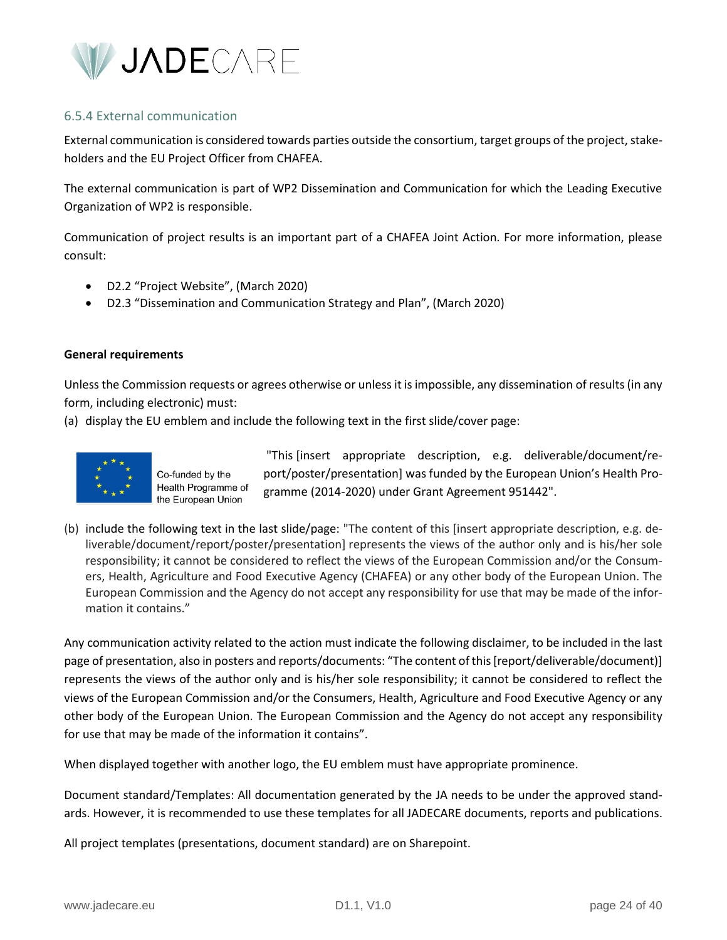

#### <span id="page-23-0"></span>6.5.4 External communication

External communication is considered towards parties outside the consortium, target groups of the project, stakeholders and the EU Project Officer from CHAFEA.

The external communication is part of WP2 Dissemination and Communication for which the Leading Executive Organization of WP2 is responsible.

Communication of project results is an important part of a CHAFEA Joint Action. For more information, please consult:

- D2.2 "Project Website", (March 2020)
- D2.3 "Dissemination and Communication Strategy and Plan", (March 2020)

#### **General requirements**

Unless the Commission requests or agrees otherwise or unless it is impossible, any dissemination of results (in any form, including electronic) must:

(a) display the EU emblem and include the following text in the first slide/cover page:



Co-funded by the Health Programme of the European Union

"This [insert appropriate description, e.g. deliverable/document/report/poster/presentation] was funded by the European Union's Health Programme (2014-2020) under Grant Agreement 951442".

(b) include the following text in the last slide/page: "The content of this [insert appropriate description, e.g. deliverable/document/report/poster/presentation] represents the views of the author only and is his/her sole responsibility; it cannot be considered to reflect the views of the European Commission and/or the Consumers, Health, Agriculture and Food Executive Agency (CHAFEA) or any other body of the European Union. The European Commission and the Agency do not accept any responsibility for use that may be made of the information it contains."

Any communication activity related to the action must indicate the following disclaimer, to be included in the last page of presentation, also in posters and reports/documents: "The content of this [report/deliverable/document)] represents the views of the author only and is his/her sole responsibility; it cannot be considered to reflect the views of the European Commission and/or the Consumers, Health, Agriculture and Food Executive Agency or any other body of the European Union. The European Commission and the Agency do not accept any responsibility for use that may be made of the information it contains".

When displayed together with another logo, the EU emblem must have appropriate prominence.

Document standard/Templates: All documentation generated by the JA needs to be under the approved standards. However, it is recommended to use these templates for all JADECARE documents, reports and publications.

All project templates (presentations, document standard) are on Sharepoint.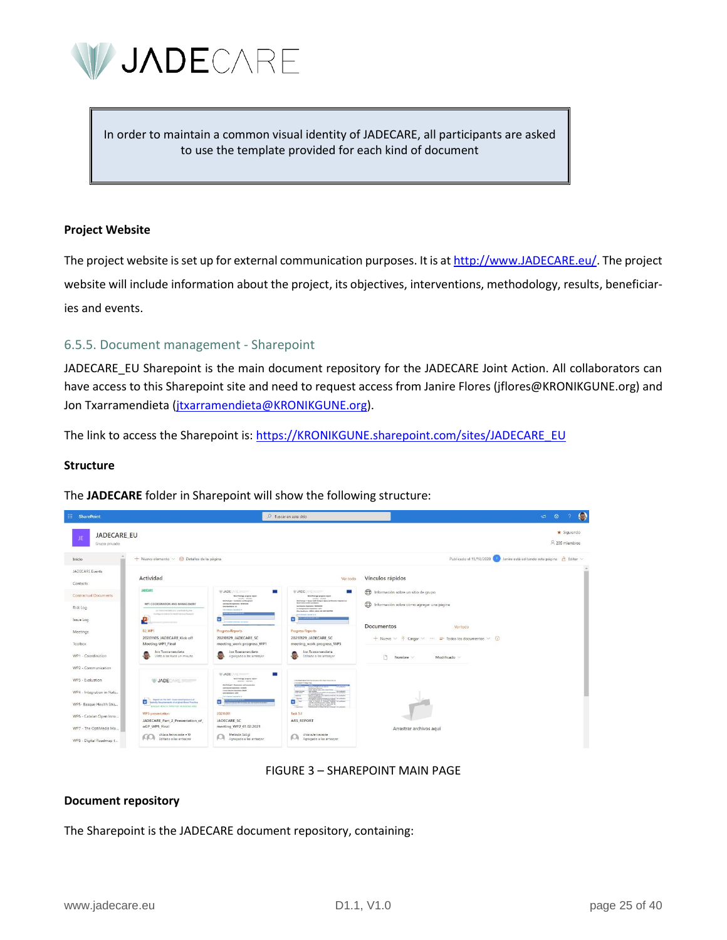

In order to maintain a common visual identity of JADECARE, all participants are asked to use the template provided for each kind of document

#### **Project Website**

The project website is set up for external communication purposes. It is a[t http://www.JADECARE.eu/.](http://www.jadecare.eu/) The project website will include information about the project, its objectives, interventions, methodology, results, beneficiaries and events.

#### <span id="page-24-0"></span>6.5.5. Document management - Sharepoint

JADECARE\_EU Sharepoint is the main document repository for the JADECARE Joint Action. All collaborators can have access to this Sharepoint site and need to request access from Janire Flores (jflores@KRONIKGUNE.org) and Jon Txarramendieta (*jtxarramendieta@KRONIKGUNE.org*).

The link to access the Sharepoint is[: https://KRONIKGUNE.sharepoint.com/sites/JADECARE\\_EU](https://kronikgune.sharepoint.com/sites/JADECARE_EU)

#### **Structure**

The **JADECARE** folder in Sharepoint will show the following structure:



#### FIGURE 3 – SHAREPOINT MAIN PAGE

#### **Document repository**

The Sharepoint is the JADECARE document repository, containing: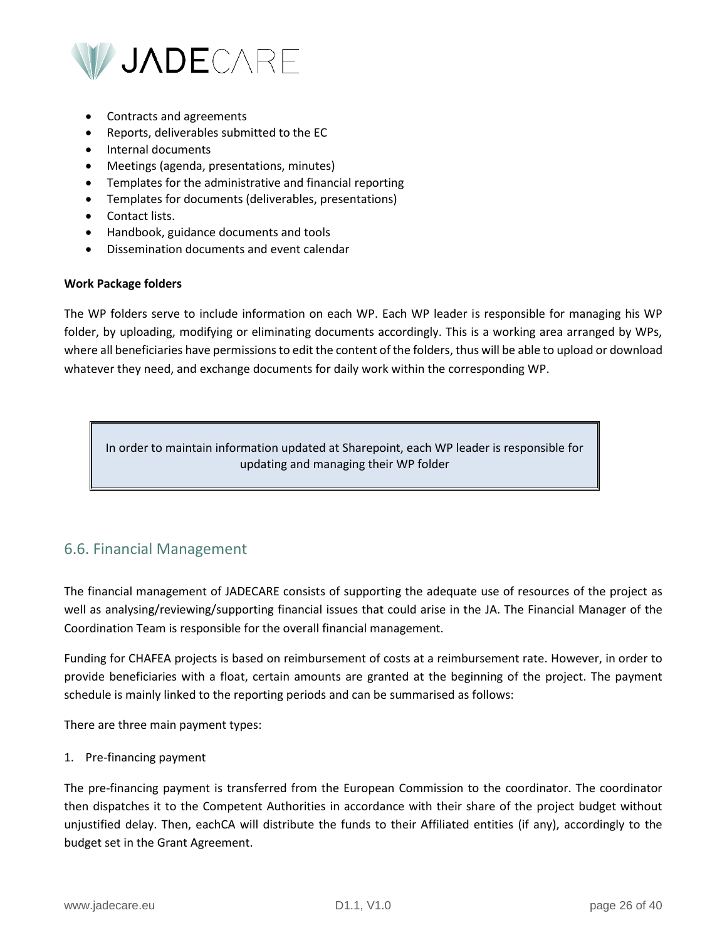

- Contracts and agreements
- Reports, deliverables submitted to the EC
- Internal documents
- Meetings (agenda, presentations, minutes)
- Templates for the administrative and financial reporting
- Templates for documents (deliverables, presentations)
- Contact lists.
- Handbook, guidance documents and tools
- Dissemination documents and event calendar

#### **Work Package folders**

The WP folders serve to include information on each WP. Each WP leader is responsible for managing his WP folder, by uploading, modifying or eliminating documents accordingly. This is a working area arranged by WPs, where all beneficiaries have permissions to edit the content of the folders, thus will be able to upload or download whatever they need, and exchange documents for daily work within the corresponding WP.

In order to maintain information updated at Sharepoint, each WP leader is responsible for updating and managing their WP folder

# <span id="page-25-0"></span>6.6. Financial Management

The financial management of JADECARE consists of supporting the adequate use of resources of the project as well as analysing/reviewing/supporting financial issues that could arise in the JA. The Financial Manager of the Coordination Team is responsible for the overall financial management.

Funding for CHAFEA projects is based on reimbursement of costs at a reimbursement rate. However, in order to provide beneficiaries with a float, certain amounts are granted at the beginning of the project. The payment schedule is mainly linked to the reporting periods and can be summarised as follows:

There are three main payment types:

#### 1. Pre-financing payment

The pre-financing payment is transferred from the European Commission to the coordinator. The coordinator then dispatches it to the Competent Authorities in accordance with their share of the project budget without unjustified delay. Then, eachCA will distribute the funds to their Affiliated entities (if any), accordingly to the budget set in the Grant Agreement.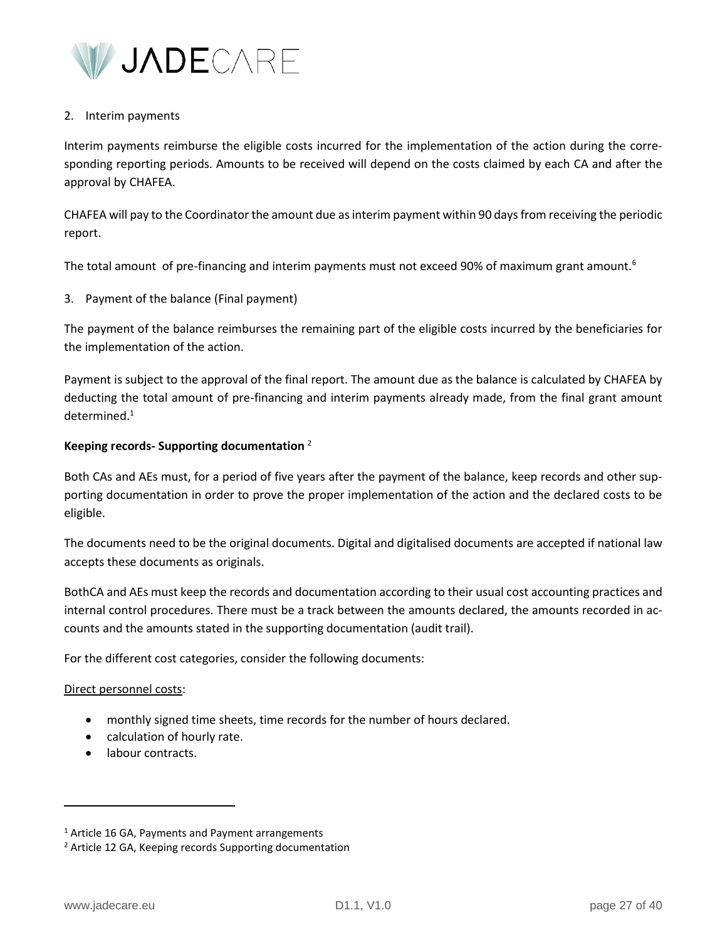

#### 2. Interim payments

Interim payments reimburse the eligible costs incurred for the implementation of the action during the corresponding reporting periods. Amounts to be received will depend on the costs claimed by each CA and after the approval by CHAFEA.

CHAFEA will pay to the Coordinator the amount due as interim payment within 90 days from receiving the periodic report.

The total amount of pre-financing and interim payments must not exceed 90% of maximum grant amount.<sup>6</sup>

3. Payment of the balance (Final payment)

The payment of the balance reimburses the remaining part of the eligible costs incurred by the beneficiaries for the implementation of the action.

Payment is subject to the approval of the final report. The amount due as the balance is calculated by CHAFEA by deducting the total amount of pre-financing and interim payments already made, from the final grant amount  $d$ etermined. $1$ 

#### **Keeping records- Supporting documentation** <sup>2</sup>

Both CAs and AEs must, for a period of five years after the payment of the balance, keep records and other supporting documentation in order to prove the proper implementation of the action and the declared costs to be eligible.

The documents need to be the original documents. Digital and digitalised documents are accepted if national law accepts these documents as originals.

BothCA and AEs must keep the records and documentation according to their usual cost accounting practices and internal control procedures. There must be a track between the amounts declared, the amounts recorded in accounts and the amounts stated in the supporting documentation (audit trail).

For the different cost categories, consider the following documents:

#### Direct personnel costs:

- monthly signed time sheets, time records for the number of hours declared.
- calculation of hourly rate.
- labour contracts.

 $1$  Article 16 GA, Payments and Payment arrangements

<sup>2</sup> Article 12 GA, Keeping records Supporting documentation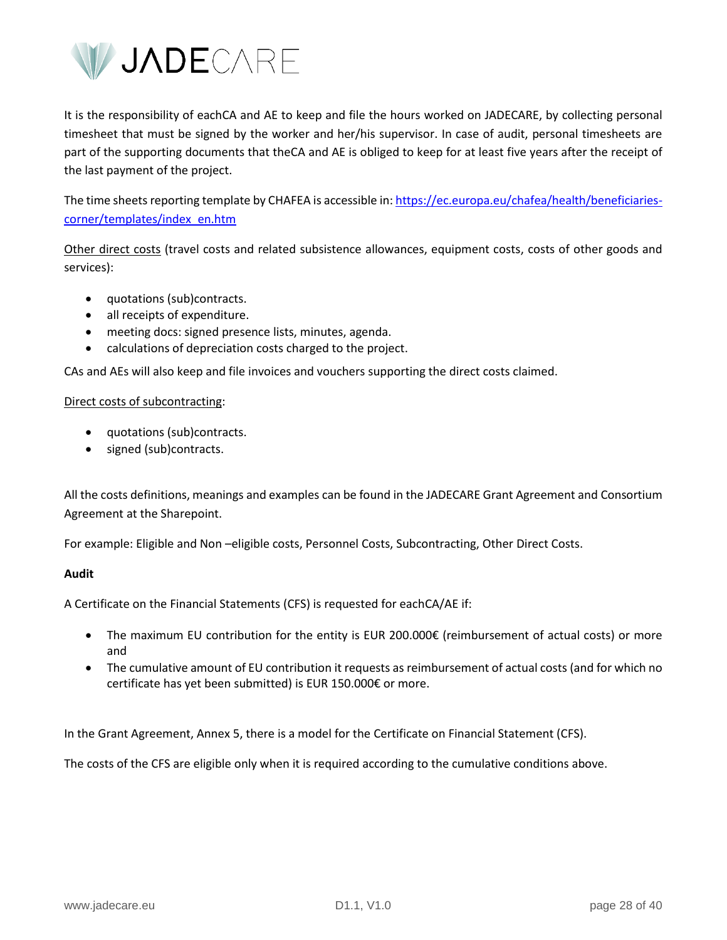

It is the responsibility of eachCA and AE to keep and file the hours worked on JADECARE, by collecting personal timesheet that must be signed by the worker and her/his supervisor. In case of audit, personal timesheets are part of the supporting documents that theCA and AE is obliged to keep for at least five years after the receipt of the last payment of the project.

The time sheets reporting template by CHAFEA is accessible in[: https://ec.europa.eu/chafea/health/beneficiaries](https://ec.europa.eu/chafea/health/beneficiaries-corner/templates/index_en.htm)[corner/templates/index\\_en.htm](https://ec.europa.eu/chafea/health/beneficiaries-corner/templates/index_en.htm)

Other direct costs (travel costs and related subsistence allowances, equipment costs, costs of other goods and services):

- quotations (sub)contracts.
- all receipts of expenditure.
- meeting docs: signed presence lists, minutes, agenda.
- calculations of depreciation costs charged to the project.

CAs and AEs will also keep and file invoices and vouchers supporting the direct costs claimed.

#### Direct costs of subcontracting:

- quotations (sub)contracts.
- signed (sub)contracts.

All the costs definitions, meanings and examples can be found in the JADECARE Grant Agreement and Consortium Agreement at the Sharepoint.

For example: Eligible and Non –eligible costs, Personnel Costs, Subcontracting, Other Direct Costs.

#### **Audit**

A Certificate on the Financial Statements (CFS) is requested for eachCA/AE if:

- The maximum EU contribution for the entity is EUR 200.000€ (reimbursement of actual costs) or more and
- The cumulative amount of EU contribution it requests as reimbursement of actual costs (and for which no certificate has yet been submitted) is EUR 150.000€ or more.

In the Grant Agreement, Annex 5, there is a model for the Certificate on Financial Statement (CFS).

The costs of the CFS are eligible only when it is required according to the cumulative conditions above.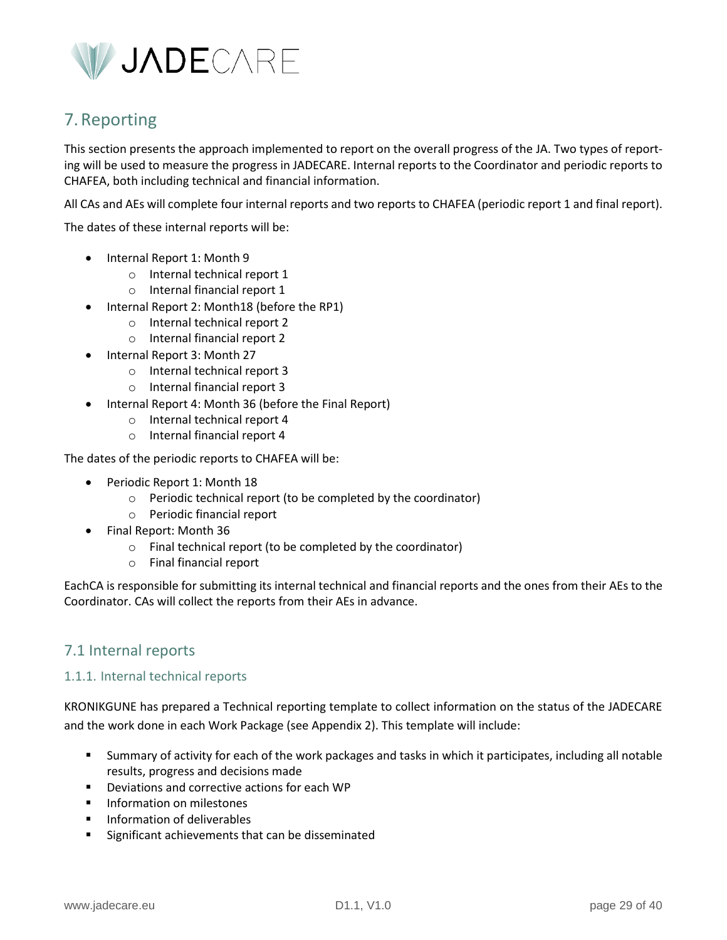

# <span id="page-28-0"></span>7.Reporting

This section presents the approach implemented to report on the overall progress of the JA. Two types of reporting will be used to measure the progress in JADECARE. Internal reports to the Coordinator and periodic reports to CHAFEA, both including technical and financial information.

All CAs and AEs will complete four internal reports and two reports to CHAFEA (periodic report 1 and final report).

The dates of these internal reports will be:

- Internal Report 1: Month 9
	- o Internal technical report 1
	- o Internal financial report 1
	- Internal Report 2: Month18 (before the RP1)
		- o Internal technical report 2
		- o Internal financial report 2
- Internal Report 3: Month 27
	- o Internal technical report 3
	- o Internal financial report 3
- Internal Report 4: Month 36 (before the Final Report)
	- o Internal technical report 4
	- o Internal financial report 4

The dates of the periodic reports to CHAFEA will be:

- Periodic Report 1: Month 18
	- o Periodic technical report (to be completed by the coordinator)
	- o Periodic financial report
- Final Report: Month 36
	- o Final technical report (to be completed by the coordinator)
	- o Final financial report

EachCA is responsible for submitting its internal technical and financial reports and the ones from their AEs to the Coordinator. CAs will collect the reports from their AEs in advance.

# <span id="page-28-1"></span>7.1 Internal reports

#### <span id="page-28-2"></span>1.1.1. Internal technical reports

KRONIKGUNE has prepared a Technical reporting template to collect information on the status of the JADECARE and the work done in each Work Package (see Appendix 2). This template will include:

- Summary of activity for each of the work packages and tasks in which it participates, including all notable results, progress and decisions made
- Deviations and corrective actions for each WP
- **■** Information on milestones
- Information of deliverables
- Significant achievements that can be disseminated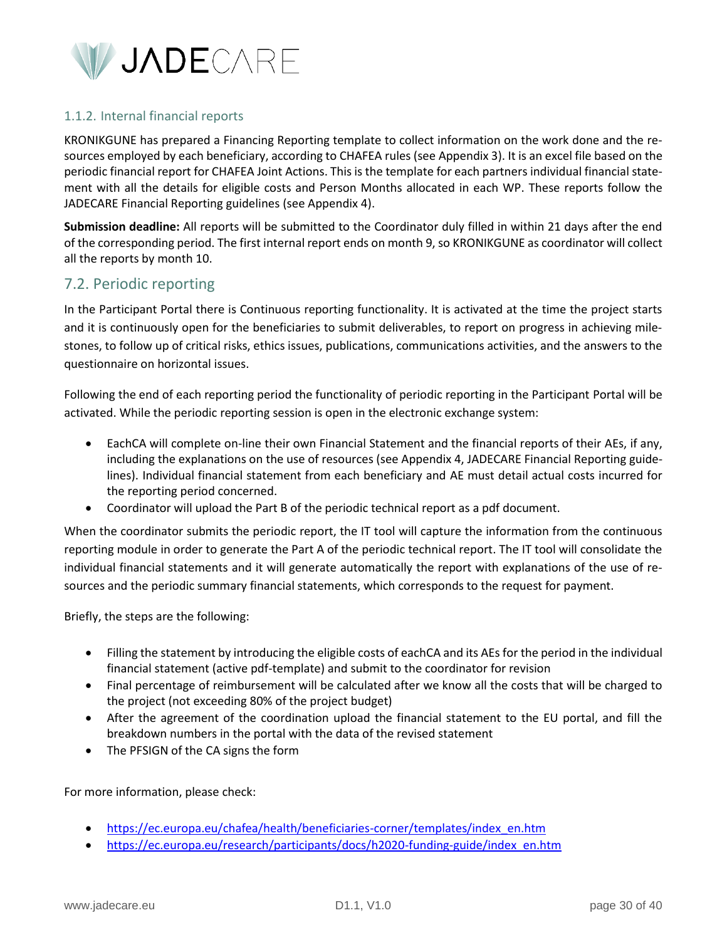

### <span id="page-29-0"></span>1.1.2. Internal financial reports

KRONIKGUNE has prepared a Financing Reporting template to collect information on the work done and the resources employed by each beneficiary, according to CHAFEA rules (see Appendix 3). It is an excel file based on the periodic financial report for CHAFEA Joint Actions. This is the template for each partners individual financial statement with all the details for eligible costs and Person Months allocated in each WP. These reports follow the JADECARE Financial Reporting guidelines (see Appendix 4).

**Submission deadline:** All reports will be submitted to the Coordinator duly filled in within 21 days after the end of the corresponding period. The first internal report ends on month 9, so KRONIKGUNE as coordinator will collect all the reports by month 10.

### <span id="page-29-1"></span>7.2. Periodic reporting

In the Participant Portal there is Continuous reporting functionality. It is activated at the time the project starts and it is continuously open for the beneficiaries to submit deliverables, to report on progress in achieving milestones, to follow up of critical risks, ethics issues, publications, communications activities, and the answers to the questionnaire on horizontal issues.

Following the end of each reporting period the functionality of periodic reporting in the Participant Portal will be activated. While the periodic reporting session is open in the electronic exchange system:

- EachCA will complete on-line their own Financial Statement and the financial reports of their AEs, if any, including the explanations on the use of resources (see Appendix 4, JADECARE Financial Reporting guidelines). Individual financial statement from each beneficiary and AE must detail actual costs incurred for the reporting period concerned.
- Coordinator will upload the Part B of the periodic technical report as a pdf document.

When the coordinator submits the periodic report, the IT tool will capture the information from the continuous reporting module in order to generate the Part A of the periodic technical report. The IT tool will consolidate the individual financial statements and it will generate automatically the report with explanations of the use of resources and the periodic summary financial statements, which corresponds to the request for payment.

Briefly, the steps are the following:

- Filling the statement by introducing the eligible costs of eachCA and its AEs for the period in the individual financial statement (active pdf-template) and submit to the coordinator for revision
- Final percentage of reimbursement will be calculated after we know all the costs that will be charged to the project (not exceeding 80% of the project budget)
- After the agreement of the coordination upload the financial statement to the EU portal, and fill the breakdown numbers in the portal with the data of the revised statement
- The PFSIGN of the CA signs the form

For more information, please check:

- [https://ec.europa.eu/chafea/health/beneficiaries-corner/templates/index\\_en.htm](https://ec.europa.eu/chafea/health/beneficiaries-corner/templates/index_en.htm)
- [https://ec.europa.eu/research/participants/docs/h2020-funding-guide/index\\_en.htm](https://ec.europa.eu/research/participants/docs/h2020-funding-guide/index_en.htm)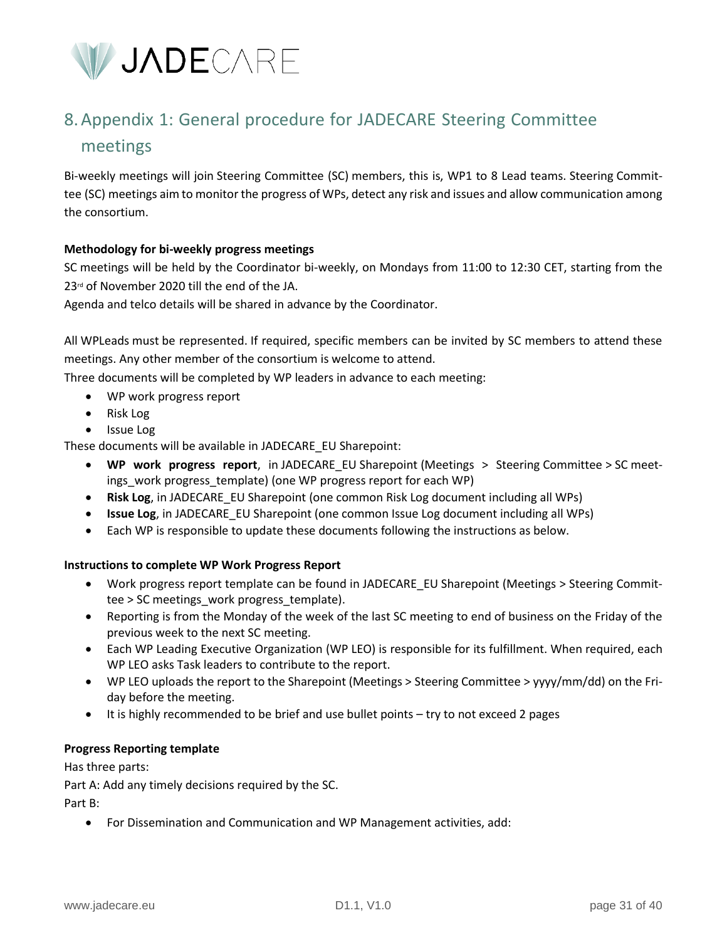

# <span id="page-30-0"></span>8.Appendix 1: General procedure for JADECARE Steering Committee meetings

Bi-weekly meetings will join Steering Committee (SC) members, this is, WP1 to 8 Lead teams. Steering Committee (SC) meetings aim to monitor the progress of WPs, detect any risk and issues and allow communication among the consortium.

#### **Methodology for bi-weekly progress meetings**

SC meetings will be held by the Coordinator bi-weekly, on Mondays from 11:00 to 12:30 CET, starting from the 23<sup>rd</sup> of November 2020 till the end of the JA.

Agenda and telco details will be shared in advance by the Coordinator.

All WPLeads must be represented. If required, specific members can be invited by SC members to attend these meetings. Any other member of the consortium is welcome to attend.

Three documents will be completed by WP leaders in advance to each meeting:

- WP work progress report
- Risk Log
- Issue Log

These documents will be available in JADECARE\_EU Sharepoint:

- **WP work progress report**, in JADECARE\_EU Sharepoint (Meetings > Steering Committee > SC meetings\_work progress\_template) (one WP progress report for each WP)
- **Risk Log**, in JADECARE\_EU Sharepoint (one common Risk Log document including all WPs)
- **Issue Log**, in JADECARE\_EU Sharepoint (one common Issue Log document including all WPs)
- Each WP is responsible to update these documents following the instructions as below.

#### **Instructions to complete WP Work Progress Report**

- Work progress report template can be found in JADECARE\_EU Sharepoint (Meetings > Steering Committee > SC meetings\_work progress\_template).
- Reporting is from the Monday of the week of the last SC meeting to end of business on the Friday of the previous week to the next SC meeting.
- Each WP Leading Executive Organization (WP LEO) is responsible for its fulfillment. When required, each WP LEO asks Task leaders to contribute to the report.
- WP LEO uploads the report to the Sharepoint (Meetings > Steering Committee > yyyy/mm/dd) on the Friday before the meeting.
- It is highly recommended to be brief and use bullet points try to not exceed 2 pages

#### **Progress Reporting template**

Has three parts:

Part A: Add any timely decisions required by the SC.

Part B:

• For Dissemination and Communication and WP Management activities, add: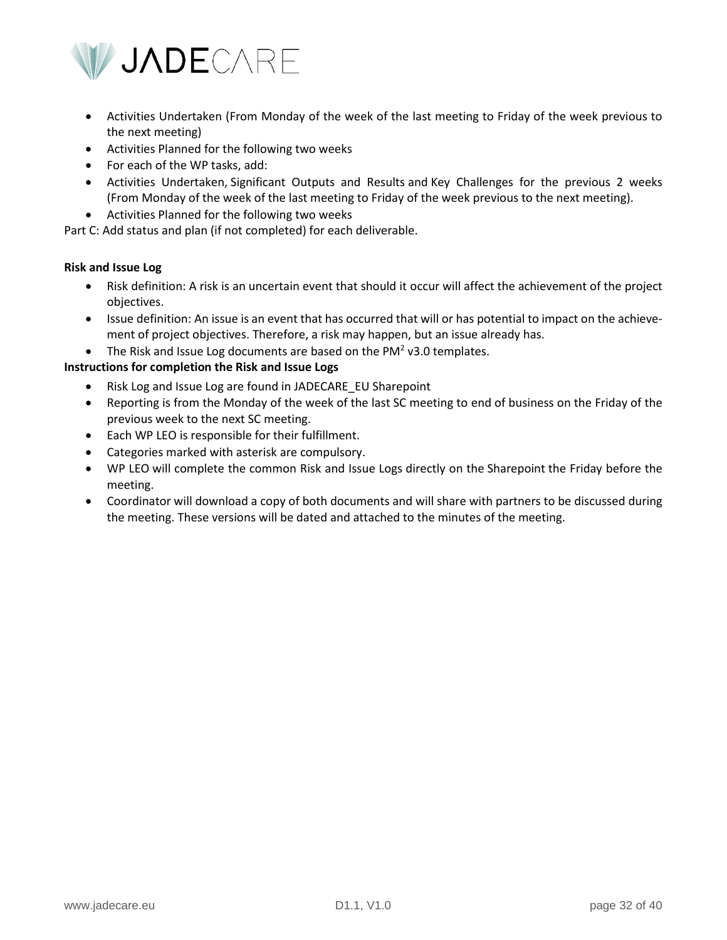

- Activities Undertaken (From Monday of the week of the last meeting to Friday of the week previous to the next meeting)
- Activities Planned for the following two weeks
- For each of the WP tasks, add:
- Activities Undertaken, Significant Outputs and Results and Key Challenges for the previous 2 weeks (From Monday of the week of the last meeting to Friday of the week previous to the next meeting).
- Activities Planned for the following two weeks

Part C: Add status and plan (if not completed) for each deliverable.

#### **Risk and Issue Log**

- Risk definition: A risk is an uncertain event that should it occur will affect the achievement of the project objectives.
- Issue definition: An issue is an event that has occurred that will or has potential to impact on the achievement of project objectives. Therefore, a risk may happen, but an issue already has.
- The Risk and Issue Log documents are based on the PM<sup>2</sup> v3.0 templates.

#### **Instructions for completion the Risk and Issue Logs**

- Risk Log and Issue Log are found in JADECARE\_EU Sharepoint
- Reporting is from the Monday of the week of the last SC meeting to end of business on the Friday of the previous week to the next SC meeting.
- Each WP LEO is responsible for their fulfillment.
- Categories marked with asterisk are compulsory.
- WP LEO will complete the common Risk and Issue Logs directly on the Sharepoint the Friday before the meeting.
- Coordinator will download a copy of both documents and will share with partners to be discussed during the meeting. These versions will be dated and attached to the minutes of the meeting.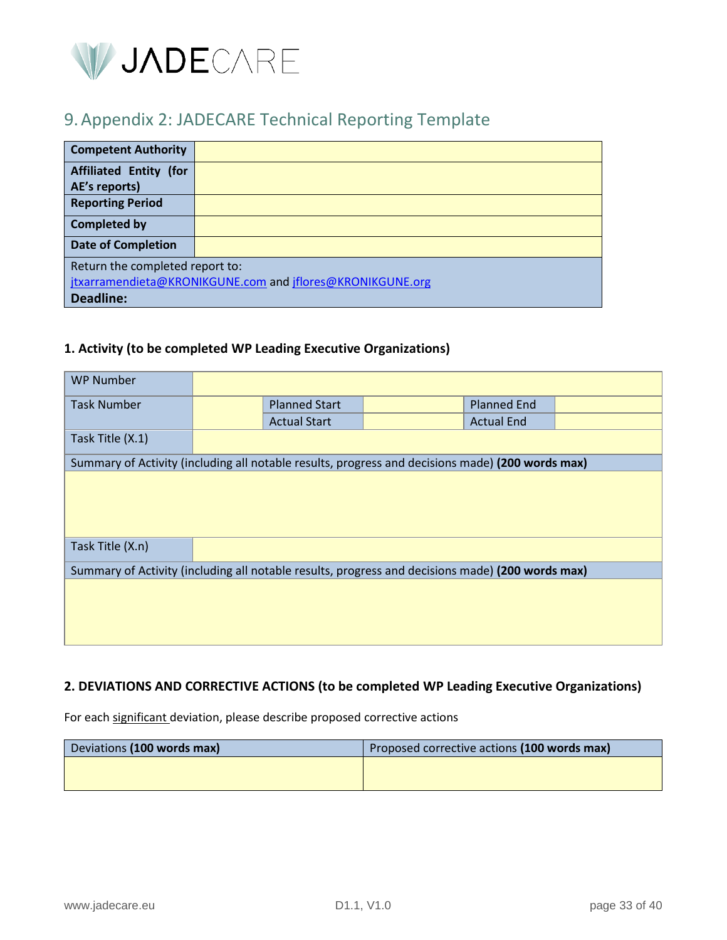

# <span id="page-32-0"></span>9.Appendix 2: JADECARE Technical Reporting Template

| <b>Competent Authority</b>                                |  |  |
|-----------------------------------------------------------|--|--|
| <b>Affiliated Entity (for</b>                             |  |  |
| AE's reports)                                             |  |  |
| <b>Reporting Period</b>                                   |  |  |
| <b>Completed by</b>                                       |  |  |
| <b>Date of Completion</b>                                 |  |  |
| Return the completed report to:                           |  |  |
| jtxarramendieta@KRONIKGUNE.com and jflores@KRONIKGUNE.org |  |  |
| <b>Deadline:</b>                                          |  |  |

## **1. Activity (to be completed WP Leading Executive Organizations)**

| <b>WP Number</b>                                                                                 |  |                      |  |                    |  |
|--------------------------------------------------------------------------------------------------|--|----------------------|--|--------------------|--|
| <b>Task Number</b>                                                                               |  | <b>Planned Start</b> |  | <b>Planned End</b> |  |
|                                                                                                  |  | <b>Actual Start</b>  |  | <b>Actual End</b>  |  |
| Task Title (X.1)                                                                                 |  |                      |  |                    |  |
| Summary of Activity (including all notable results, progress and decisions made) (200 words max) |  |                      |  |                    |  |
| Task Title (X.n)                                                                                 |  |                      |  |                    |  |
| Summary of Activity (including all notable results, progress and decisions made) (200 words max) |  |                      |  |                    |  |
|                                                                                                  |  |                      |  |                    |  |

# **2. DEVIATIONS AND CORRECTIVE ACTIONS (to be completed WP Leading Executive Organizations)**

For each significant deviation, please describe proposed corrective actions

| Deviations (100 words max) | Proposed corrective actions (100 words max) |
|----------------------------|---------------------------------------------|
|                            |                                             |
|                            |                                             |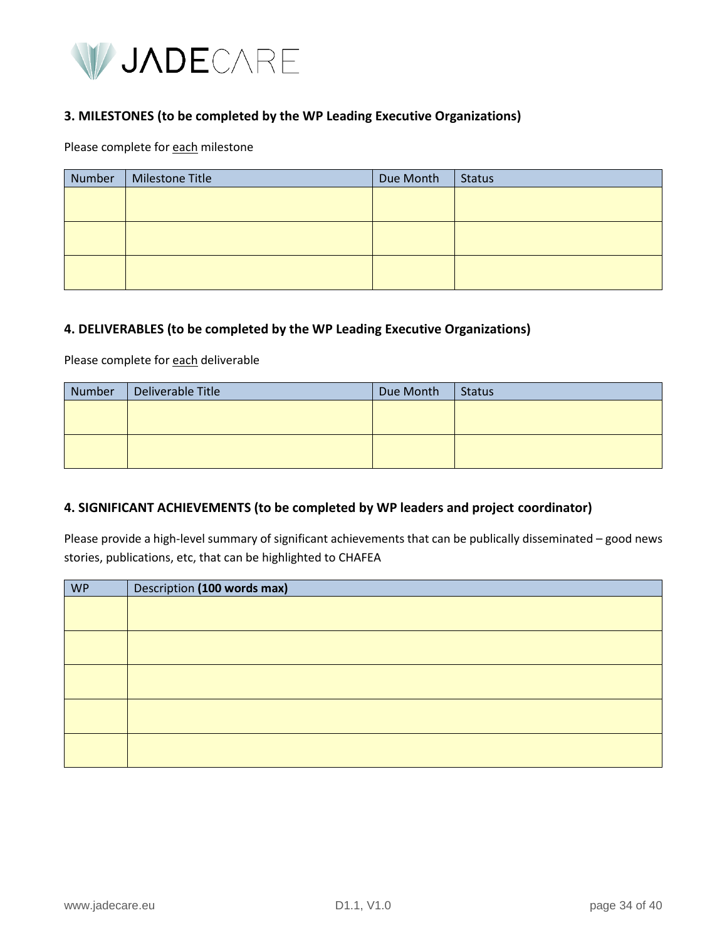

### **3. MILESTONES (to be completed by the WP Leading Executive Organizations)**

Please complete for each milestone

| Number | <b>Milestone Title</b> | Due Month | Status |
|--------|------------------------|-----------|--------|
|        |                        |           |        |
|        |                        |           |        |
|        |                        |           |        |
|        |                        |           |        |
|        |                        |           |        |
|        |                        |           |        |

#### **4. DELIVERABLES (to be completed by the WP Leading Executive Organizations)**

Please complete for each deliverable

| <b>Number</b> | Deliverable Title | Due Month | Status |
|---------------|-------------------|-----------|--------|
|               |                   |           |        |
|               |                   |           |        |
|               |                   |           |        |
|               |                   |           |        |

#### **4. SIGNIFICANT ACHIEVEMENTS (to be completed by WP leaders and project coordinator)**

Please provide a high-level summary of significant achievements that can be publically disseminated – good news stories, publications, etc, that can be highlighted to CHAFEA

| <b>WP</b> | Description (100 words max) |
|-----------|-----------------------------|
|           |                             |
|           |                             |
|           |                             |
|           |                             |
|           |                             |
|           |                             |
|           |                             |
|           |                             |
|           |                             |
|           |                             |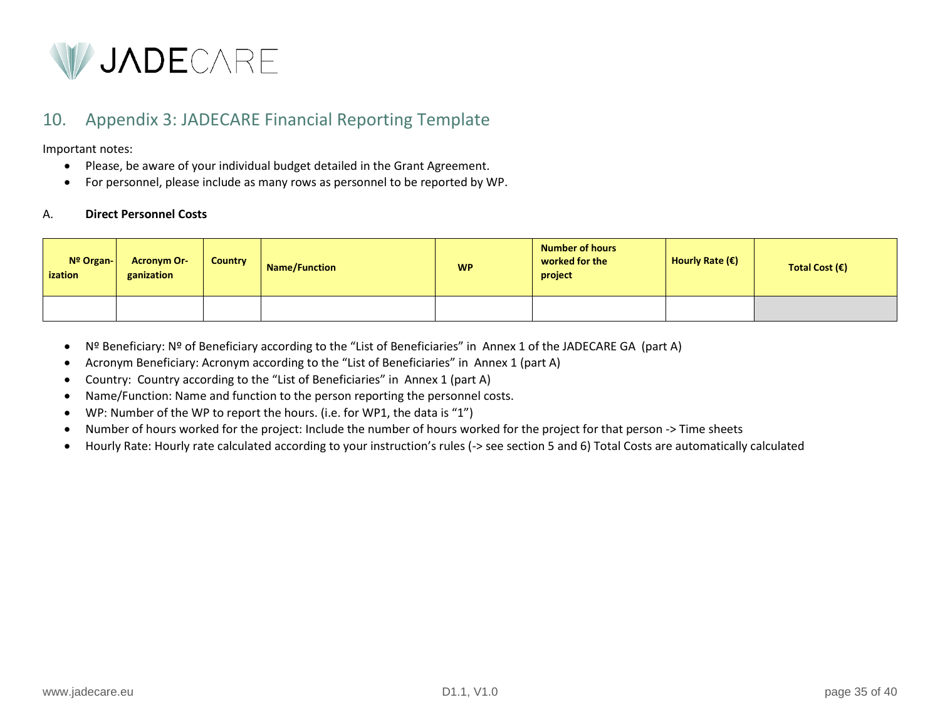

# 10. Appendix 3: JADECARE Financial Reporting Template

Important notes:

- Please, be aware of your individual budget detailed in the Grant Agreement.
- For personnel, please include as many rows as personnel to be reported by WP.

#### A. **Direct Personnel Costs**

| Nº Organ-<br>ization | <b>Acronym Or-</b><br>ganization | <b>Country</b> | <b>Name/Function</b> | <b>WP</b> | <b>Number of hours</b><br>worked for the<br>project | Hourly Rate $(\epsilon)$ | Total Cost $(\epsilon)$ |
|----------------------|----------------------------------|----------------|----------------------|-----------|-----------------------------------------------------|--------------------------|-------------------------|
|                      |                                  |                |                      |           |                                                     |                          |                         |

- <span id="page-34-0"></span>• Nº Beneficiary: Nº of Beneficiary according to the "List of Beneficiaries" in Annex 1 of the JADECARE GA (part A)
- Acronym Beneficiary: Acronym according to the "List of Beneficiaries" in Annex 1 (part A)
- Country: Country according to the "List of Beneficiaries" in Annex 1 (part A)
- Name/Function: Name and function to the person reporting the personnel costs.
- WP: Number of the WP to report the hours. (i.e. for WP1, the data is "1")
- Number of hours worked for the project: Include the number of hours worked for the project for that person -> Time sheets
- Hourly Rate: Hourly rate calculated according to your instruction's rules (-> see section 5 and 6) Total Costs are automatically calculated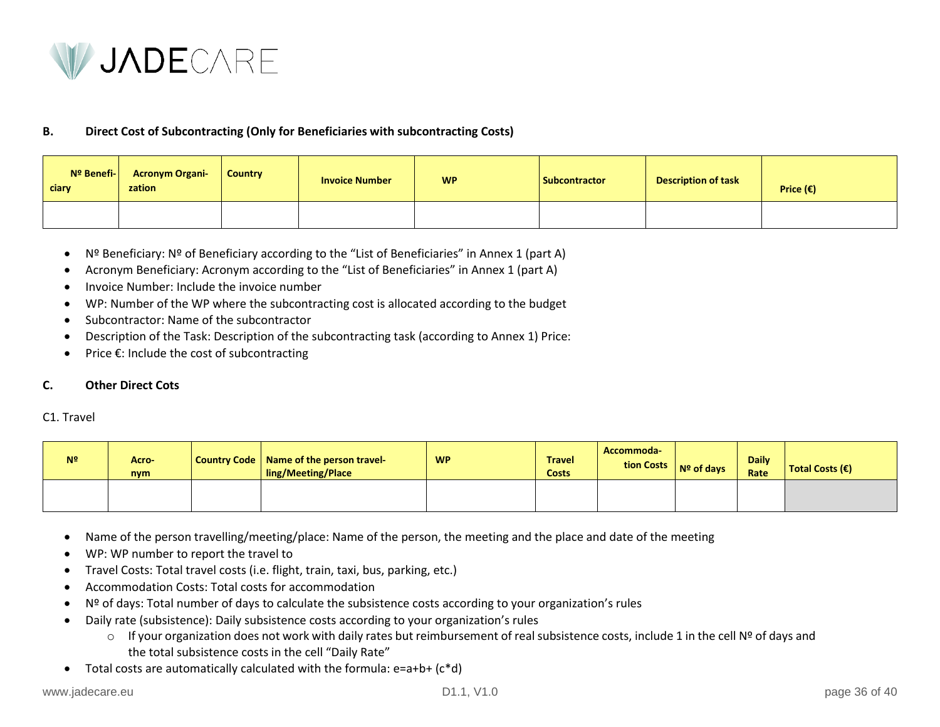

#### **B. Direct Cost of Subcontracting (Only for Beneficiaries with subcontracting Costs)**

| Nº Benefi-<br>ciary | <b>Acronym Organi-</b><br>zation | <b>Country</b> | <b>Invoice Number</b> | <b>WP</b> | <b>Subcontractor</b> | <b>Description of task</b> | Price $(\epsilon)$ |
|---------------------|----------------------------------|----------------|-----------------------|-----------|----------------------|----------------------------|--------------------|
|                     |                                  |                |                       |           |                      |                            |                    |

- Nº Beneficiary: Nº of Beneficiary according to the "List of Beneficiaries" in Annex 1 (part A)
- Acronym Beneficiary: Acronym according to the "List of Beneficiaries" in Annex 1 (part A)
- Invoice Number: Include the invoice number
- WP: Number of the WP where the subcontracting cost is allocated according to the budget
- Subcontractor: Name of the subcontractor
- Description of the Task: Description of the subcontracting task (according to Annex 1) Price:
- Price €: Include the cost of subcontracting

#### **C. Other Direct Cots**

#### C1. Travel

| N <sup>2</sup> | Acro-<br>nym | Country Code   Name of the person travel-<br>ling/Meeting/Place | <b>WP</b> | <b>Travel</b><br><b>Costs</b> | Accommoda-<br>tion Costs $\vert$ N <sup>o</sup> of days | <b>Daily</b><br>Rate | Total Costs $(\epsilon)$ |
|----------------|--------------|-----------------------------------------------------------------|-----------|-------------------------------|---------------------------------------------------------|----------------------|--------------------------|
|                |              |                                                                 |           |                               |                                                         |                      |                          |

- Name of the person travelling/meeting/place: Name of the person, the meeting and the place and date of the meeting
- WP: WP number to report the travel to
- Travel Costs: Total travel costs (i.e. flight, train, taxi, bus, parking, etc.)
- Accommodation Costs: Total costs for accommodation
- Nº of days: Total number of days to calculate the subsistence costs according to your organization's rules
- Daily rate (subsistence): Daily subsistence costs according to your organization's rules
	- o If your organization does not work with daily rates but reimbursement of real subsistence costs, include 1 in the cell Nº of days and the total subsistence costs in the cell "Daily Rate"
- Total costs are automatically calculated with the formula:  $e=a+b+(c*d)$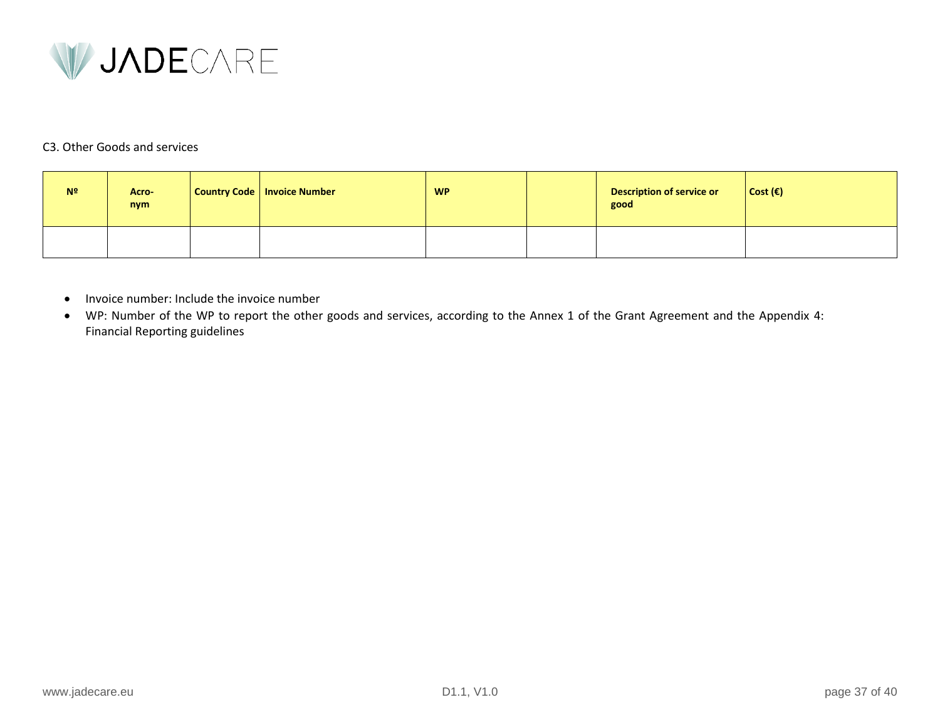

### C3. Other Goods and services

| N <sup>2</sup> | Acro-<br>nym | Country Code   Invoice Number | <b>WP</b> | <b>Description of service or</b><br>good | $\vert$ Cost ( $\epsilon$ ) |
|----------------|--------------|-------------------------------|-----------|------------------------------------------|-----------------------------|
|                |              |                               |           |                                          |                             |

- Invoice number: Include the invoice number
- WP: Number of the WP to report the other goods and services, according to the Annex 1 of the Grant Agreement and the Appendix 4: Financial Reporting guidelines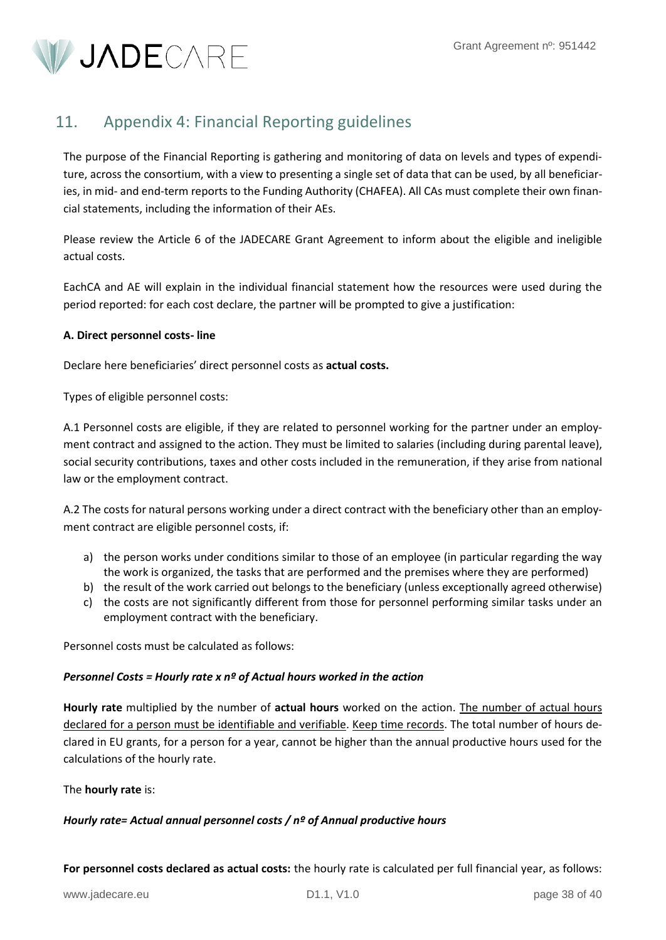<span id="page-37-0"></span>V JADECARE

# 11. Appendix 4: Financial Reporting guidelines

The purpose of the Financial Reporting is gathering and monitoring of data on levels and types of expenditure, across the consortium, with a view to presenting a single set of data that can be used, by all beneficiaries, in mid- and end-term reports to the Funding Authority (CHAFEA). All CAs must complete their own financial statements, including the information of their AEs.

Please review the Article 6 of the JADECARE Grant Agreement to inform about the eligible and ineligible actual costs.

EachCA and AE will explain in the individual financial statement how the resources were used during the period reported: for each cost declare, the partner will be prompted to give a justification:

### **A. Direct personnel costs- line**

Declare here beneficiaries' direct personnel costs as **actual costs.**

Types of eligible personnel costs:

A.1 Personnel costs are eligible, if they are related to personnel working for the partner under an employment contract and assigned to the action. They must be limited to salaries (including during parental leave), social security contributions, taxes and other costs included in the remuneration, if they arise from national law or the employment contract.

A.2 The costs for natural persons working under a direct contract with the beneficiary other than an employment contract are eligible personnel costs, if:

- a) the person works under conditions similar to those of an employee (in particular regarding the way the work is organized, the tasks that are performed and the premises where they are performed)
- b) the result of the work carried out belongs to the beneficiary (unless exceptionally agreed otherwise)
- c) the costs are not significantly different from those for personnel performing similar tasks under an employment contract with the beneficiary.

Personnel costs must be calculated as follows:

### *Personnel Costs = Hourly rate x nº of Actual hours worked in the action*

**Hourly rate** multiplied by the number of **actual hours** worked on the action. The number of actual hours declared for a person must be identifiable and verifiable. Keep time records. The total number of hours declared in EU grants, for a person for a year, cannot be higher than the annual productive hours used for the calculations of the hourly rate.

The **hourly rate** is:

### *Hourly rate= Actual annual personnel costs / nº of Annual productive hours*

**For personnel costs declared as actual costs:** the hourly rate is calculated per full financial year, as follows: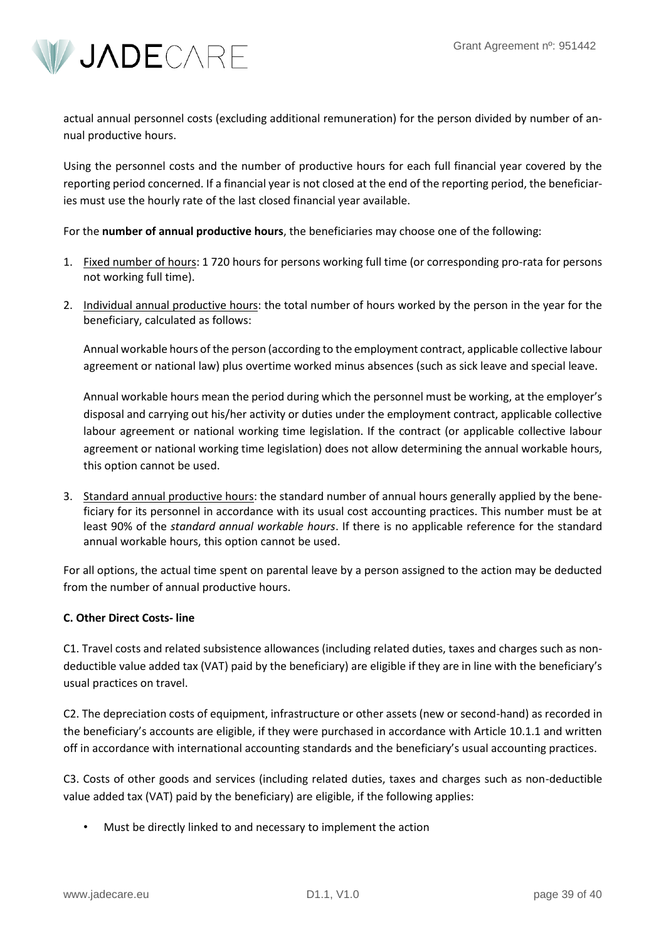

actual annual personnel costs (excluding additional remuneration) for the person divided by number of annual productive hours.

Using the personnel costs and the number of productive hours for each full financial year covered by the reporting period concerned. If a financial year is not closed at the end of the reporting period, the beneficiaries must use the hourly rate of the last closed financial year available.

For the **number of annual productive hours**, the beneficiaries may choose one of the following:

- 1. Fixed number of hours: 1 720 hours for persons working full time (or corresponding pro-rata for persons not working full time).
- 2. Individual annual productive hours: the total number of hours worked by the person in the year for the beneficiary, calculated as follows:

Annual workable hours of the person (according to the employment contract, applicable collective labour agreement or national law) plus overtime worked minus absences (such as sick leave and special leave.

Annual workable hours mean the period during which the personnel must be working, at the employer's disposal and carrying out his/her activity or duties under the employment contract, applicable collective labour agreement or national working time legislation. If the contract (or applicable collective labour agreement or national working time legislation) does not allow determining the annual workable hours, this option cannot be used.

3. Standard annual productive hours: the standard number of annual hours generally applied by the beneficiary for its personnel in accordance with its usual cost accounting practices. This number must be at least 90% of the *standard annual workable hours*. If there is no applicable reference for the standard annual workable hours, this option cannot be used.

For all options, the actual time spent on parental leave by a person assigned to the action may be deducted from the number of annual productive hours.

### **C. Other Direct Costs- line**

C1. Travel costs and related subsistence allowances (including related duties, taxes and charges such as nondeductible value added tax (VAT) paid by the beneficiary) are eligible if they are in line with the beneficiary's usual practices on travel.

C2. The depreciation costs of equipment, infrastructure or other assets (new or second-hand) as recorded in the beneficiary's accounts are eligible, if they were purchased in accordance with Article 10.1.1 and written off in accordance with international accounting standards and the beneficiary's usual accounting practices.

C3. Costs of other goods and services (including related duties, taxes and charges such as non-deductible value added tax (VAT) paid by the beneficiary) are eligible, if the following applies:

• Must be directly linked to and necessary to implement the action